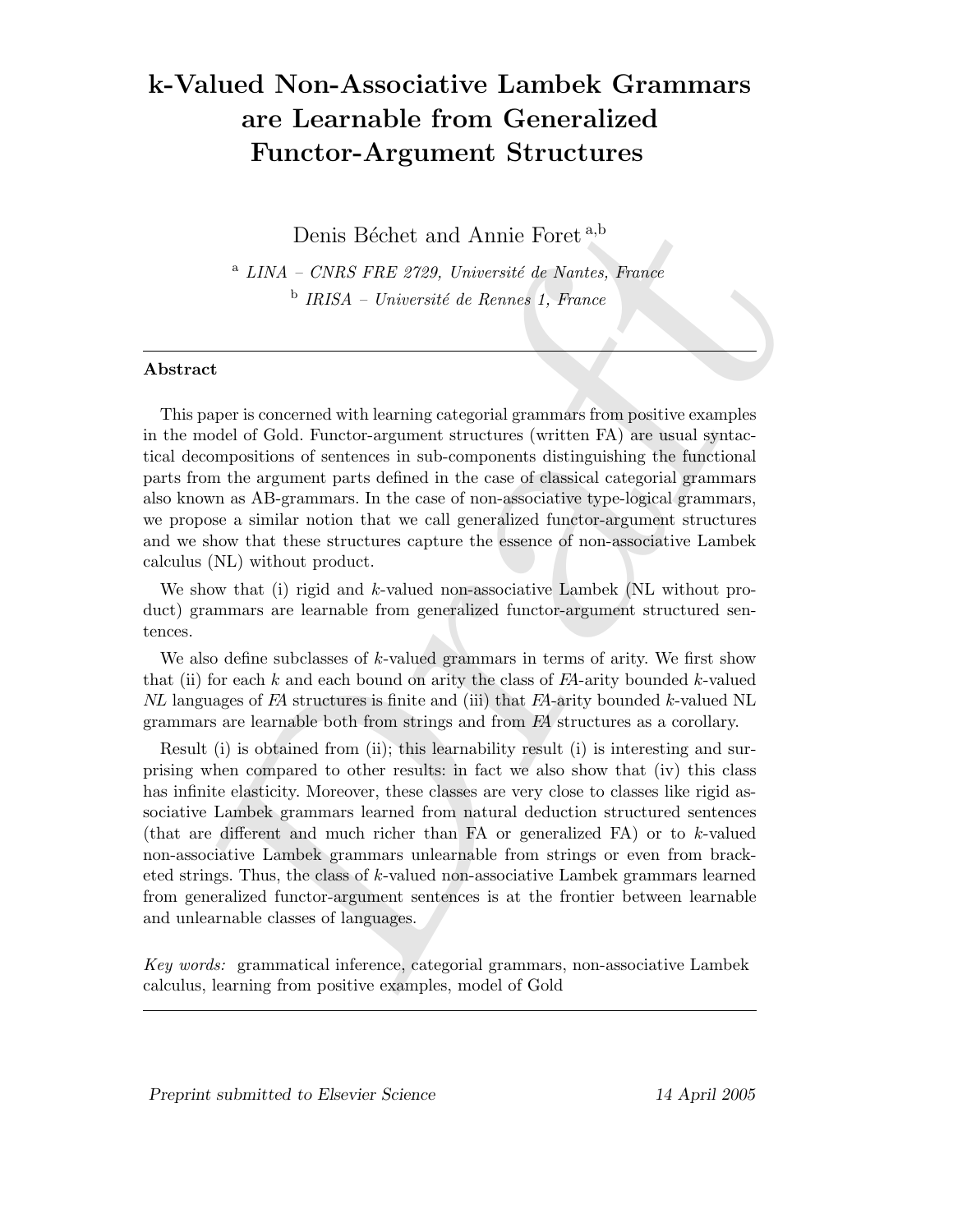# k-Valued Non-Associative Lambek Grammars are Learnable from Generalized Functor-Argument Structures

Denis Béchet and Annie Foret<sup>a,b</sup>

 $A$  LINA – CNRS FRE 2729, Université de Nantes, France  $b$  IRISA – Université de Rennes 1, France

### Abstract

This paper is concerned with learning categorial grammars from positive examples in the model of Gold. Functor-argument structures (written FA) are usual syntactical decompositions of sentences in sub-components distinguishing the functional parts from the argument parts defined in the case of classical categorial grammars also known as AB-grammars. In the case of non-associative type-logical grammars, we propose a similar notion that we call generalized functor-argument structures and we show that these structures capture the essence of non-associative Lambek calculus (NL) without product.

We show that (i) rigid and k-valued non-associative Lambek (NL without product) grammars are learnable from generalized functor-argument structured sentences.

We also define subclasses of  $k$ -valued grammars in terms of arity. We first show that (ii) for each k and each bound on arity the class of  $FA$ -arity bounded k-valued NL languages of FA structures is finite and (iii) that FA-arity bounded k-valued NL grammars are learnable both from strings and from FA structures as a corollary.

Denis Béchet and Annie Foret <sup>a,b</sup><br><sup>a</sup> LINA – CNRS FRE 2729, Université de Rontes, Funce b<br/> $^{b}$  IRISA – Université de Rennes 1, France b<br/> $^{b}$ IRISA – Université de Rennes 1, France b<br/> $^{b}$ IRISA – Université d Result (i) is obtained from (ii); this learnability result (i) is interesting and surprising when compared to other results: in fact we also show that (iv) this class has infinite elasticity. Moreover, these classes are very close to classes like rigid associative Lambek grammars learned from natural deduction structured sentences (that are different and much richer than FA or generalized FA) or to  $k$ -valued non-associative Lambek grammars unlearnable from strings or even from bracketed strings. Thus, the class of k-valued non-associative Lambek grammars learned from generalized functor-argument sentences is at the frontier between learnable and unlearnable classes of languages.

Key words: grammatical inference, categorial grammars, non-associative Lambek calculus, learning from positive examples, model of Gold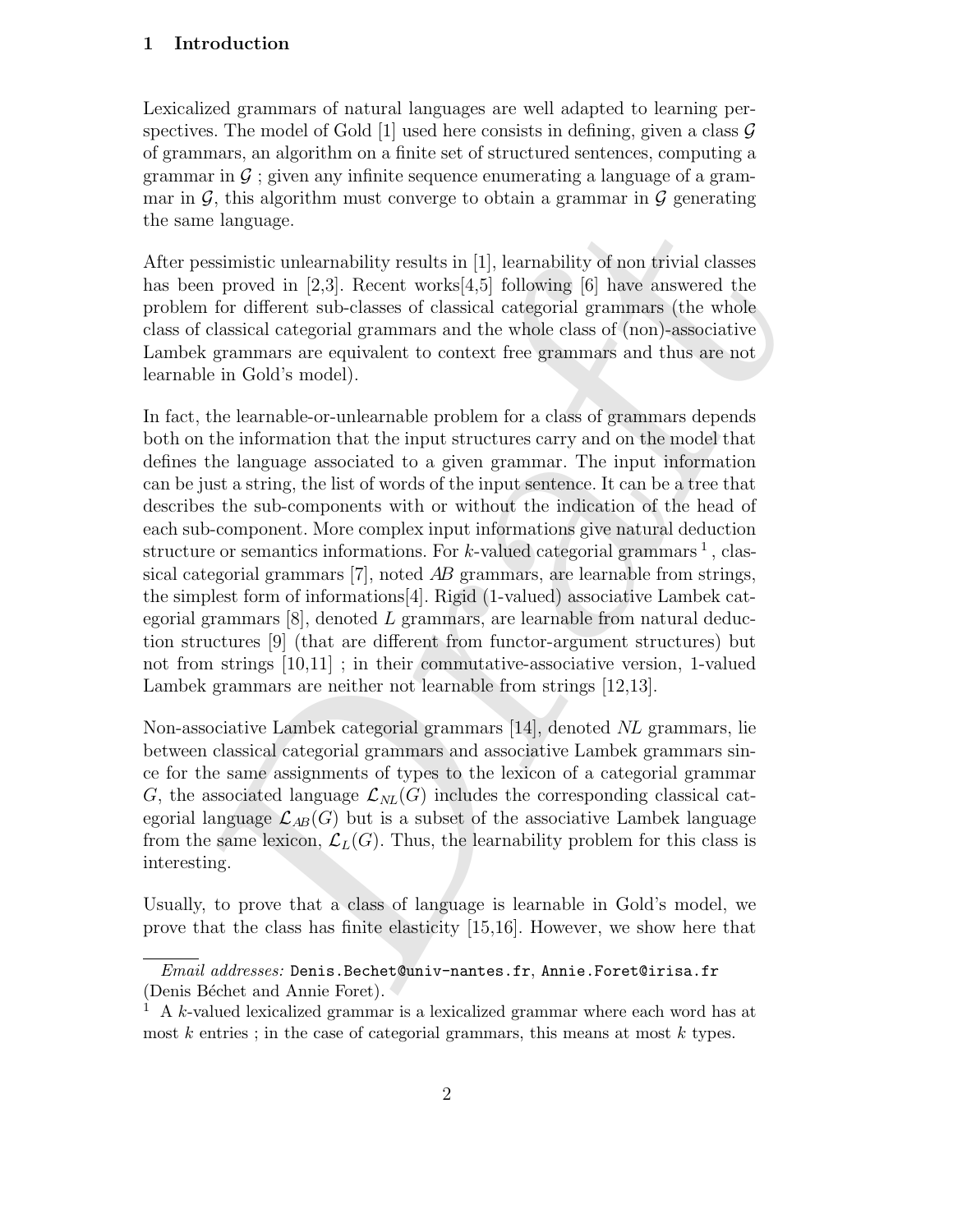# 1 Introduction

Lexicalized grammars of natural languages are well adapted to learning perspectives. The model of Gold [1] used here consists in defining, given a class  $\mathcal G$ of grammars, an algorithm on a finite set of structured sentences, computing a grammar in  $\mathcal G$ ; given any infinite sequence enumerating a language of a grammar in  $\mathcal G$ , this algorithm must converge to obtain a grammar in  $\mathcal G$  generating the same language.

After pessimistic unlearnability results in [1], learnability of non trivial classes has been proved in [2,3]. Recent works[4,5] following [6] have answered the problem for different sub-classes of classical categorial grammars (the whole class of classical categorial grammars and the whole class of (non)-associative Lambek grammars are equivalent to context free grammars and thus are not learnable in Gold's model).

ne language.<br>
me language.<br>
essimistic unle<br/>armbility results in [1], learnability of mon trivial classes<br>
em proved in [2,3]. Recent works[4,5] following (6) have answered the<br>
em for different sub-classes of classic In fact, the learnable-or-unlearnable problem for a class of grammars depends both on the information that the input structures carry and on the model that defines the language associated to a given grammar. The input information can be just a string, the list of words of the input sentence. It can be a tree that describes the sub-components with or without the indication of the head of each sub-component. More complex input informations give natural deduction structure or semantics informations. For k-valued categorial grammars  $^1$ , classical categorial grammars [7], noted AB grammars, are learnable from strings, the simplest form of informations[4]. Rigid (1-valued) associative Lambek categorial grammars  $[8]$ , denoted L grammars, are learnable from natural deduction structures [9] (that are different from functor-argument structures) but not from strings [10,11] ; in their commutative-associative version, 1-valued Lambek grammars are neither not learnable from strings [12,13].

Non-associative Lambek categorial grammars [14], denoted NL grammars, lie between classical categorial grammars and associative Lambek grammars since for the same assignments of types to the lexicon of a categorial grammar G, the associated language  $\mathcal{L}_{NL}(G)$  includes the corresponding classical categorial language  $\mathcal{L}_{AB}(G)$  but is a subset of the associative Lambek language from the same lexicon,  $\mathcal{L}_L(G)$ . Thus, the learnability problem for this class is interesting.

Usually, to prove that a class of language is learnable in Gold's model, we prove that the class has finite elasticity [15,16]. However, we show here that

 $Email \; addresses:$   $Denis. Bechet@univ-nantes.fr, Annie.Foret@irisa.fr$ (Denis Béchet and Annie Foret).

<sup>1</sup> A k-valued lexicalized grammar is a lexicalized grammar where each word has at most  $k$  entries; in the case of categorial grammars, this means at most  $k$  types.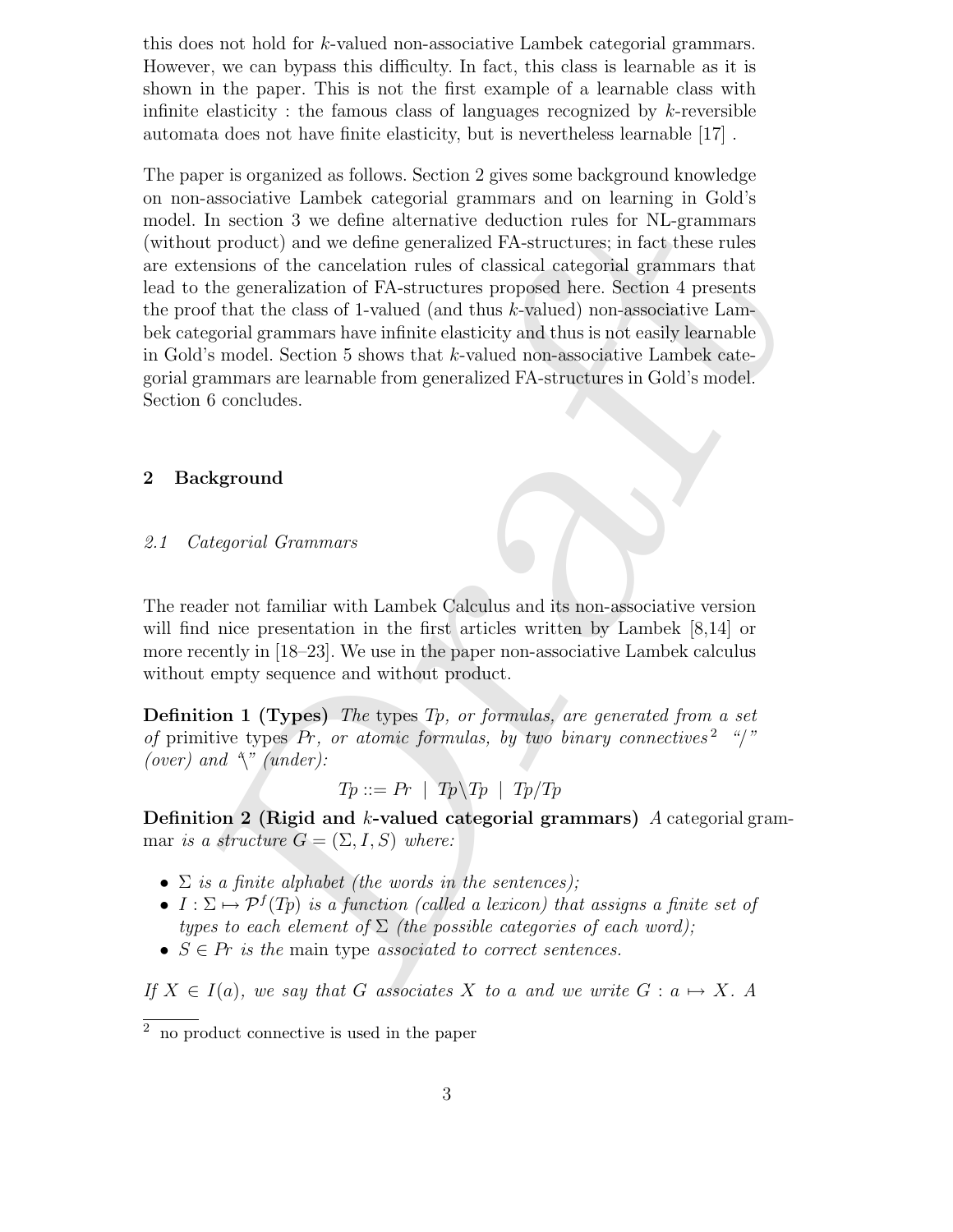this does not hold for k-valued non-associative Lambek categorial grammars. However, we can bypass this difficulty. In fact, this class is learnable as it is shown in the paper. This is not the first example of a learnable class with infinite elasticity : the famous class of languages recognized by  $k$ -reversible automata does not have finite elasticity, but is nevertheless learnable [17] .

In section 3 we define alternative deduction rules for NL-grammars<br>
in product) and we define generalized PA-structures; in fact these rules<br>
in product) and we define generalized points are the generalization of CA-struc The paper is organized as follows. Section 2 gives some background knowledge on non-associative Lambek categorial grammars and on learning in Gold's model. In section 3 we define alternative deduction rules for NL-grammars (without product) and we define generalized FA-structures; in fact these rules are extensions of the cancelation rules of classical categorial grammars that lead to the generalization of FA-structures proposed here. Section 4 presents the proof that the class of 1-valued (and thus  $k$ -valued) non-associative Lambek categorial grammars have infinite elasticity and thus is not easily learnable in Gold's model. Section 5 shows that k-valued non-associative Lambek categorial grammars are learnable from generalized FA-structures in Gold's model. Section 6 concludes.

# 2 Background

### 2.1 Categorial Grammars

The reader not familiar with Lambek Calculus and its non-associative version will find nice presentation in the first articles written by Lambek [8,14] or more recently in [18–23]. We use in the paper non-associative Lambek calculus without empty sequence and without product.

**Definition 1 (Types)** The types  $Tp$ , or formulas, are generated from a set of primitive types  $Pr$ , or atomic formulas, by two binary connectives<sup>2</sup> "/" (over) and  $\gamma$ " (under):

$$
Tp ::= Pr \mid Tp \backslash Tp \mid Tp/Tp
$$

Definition 2 (Rigid and k-valued categorial grammars)  $A$  categorial grammar is a structure  $G = (\Sigma, I, S)$  where:

- $\Sigma$  is a finite alphabet (the words in the sentences);
- $I : \Sigma \mapsto \mathcal{P}^f(T_p)$  is a function (called a lexicon) that assigns a finite set of types to each element of  $\Sigma$  (the possible categories of each word);
- $S \in \mathbb{P}$  is the main type associated to correct sentences.

If  $X \in I(a)$ , we say that G associates X to a and we write  $G : a \mapsto X$ . A

 $\overline{2}$  no product connective is used in the paper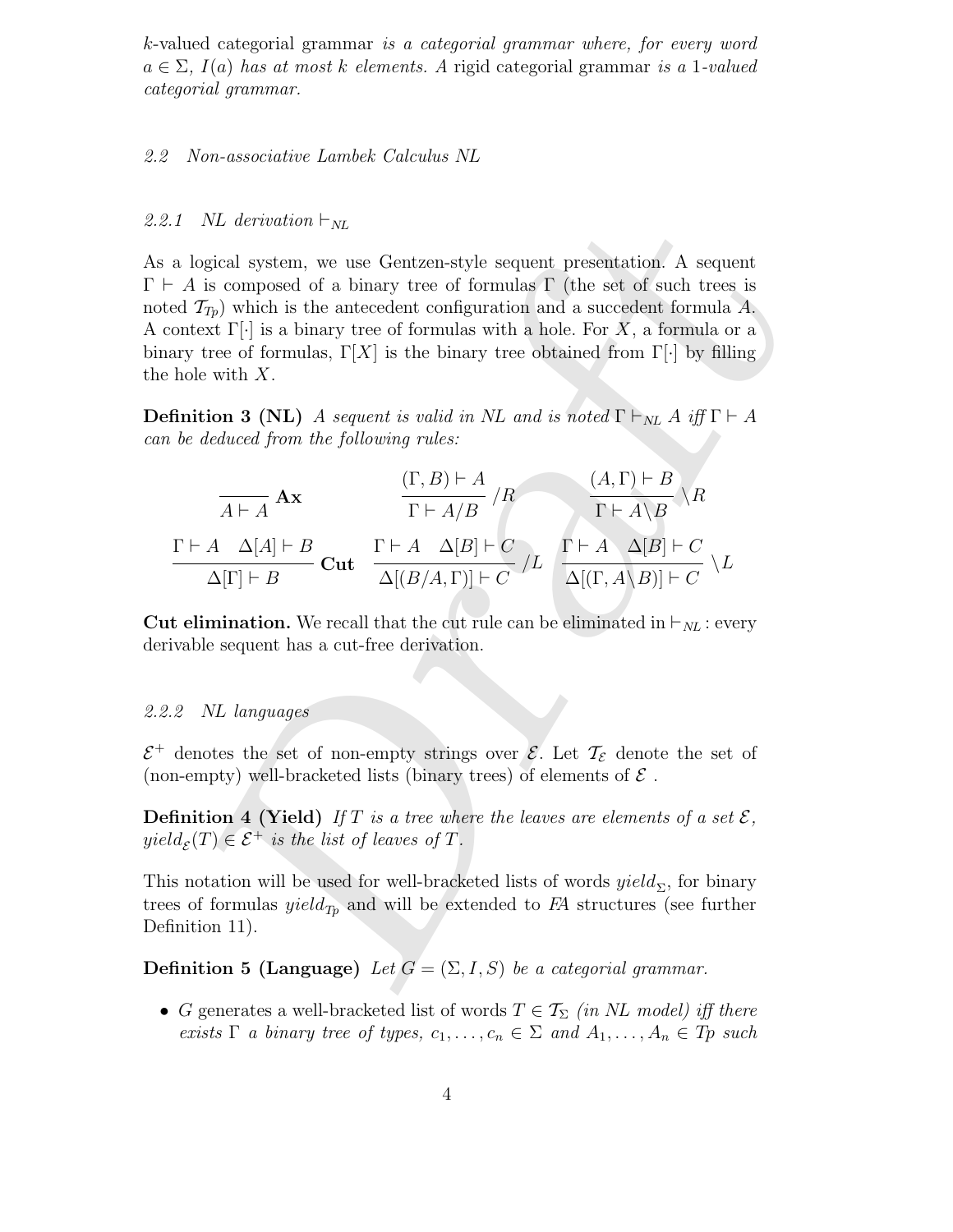k-valued categorial grammar is a categorial grammar where, for every word  $a \in \Sigma$ ,  $I(a)$  has at most k elements. A rigid categorial grammar is a 1-valued categorial grammar.

#### 2.2 Non-associative Lambek Calculus NL

#### 2.2.1 NL derivation  $\vdash_{NL}$

NL derivation  $\vdash_{NL}$ <br>
orgical system, we use Gentzen-style sequent presentation. A sequent<br>
is composed of a binary tree of formulas  $\vdash$  (the set of such trees is<br>  $T_{P0}$ ) which is the antecedent configuration and a As a logical system, we use Gentzen-style sequent presentation. A sequent  $\Gamma \vdash A$  is composed of a binary tree of formulas  $\Gamma$  (the set of such trees is noted  $\mathcal{T}_{T_p}$ ) which is the antecedent configuration and a succedent formula A. A context  $\Gamma[\cdot]$  is a binary tree of formulas with a hole. For X, a formula or a binary tree of formulas,  $\Gamma[X]$  is the binary tree obtained from  $\Gamma[\cdot]$  by filling the hole with X.

**Definition 3 (NL)** A sequent is valid in NL and is noted  $\Gamma \vdash_{NL} A$  iff  $\Gamma \vdash A$ can be deduced from the following rules:

$$
\frac{(\Gamma, B) \vdash A}{A \vdash A} \mathbf{A} \mathbf{x} \qquad \frac{(\Gamma, B) \vdash A}{\Gamma \vdash A/B} / R \qquad \frac{(A, \Gamma) \vdash B}{\Gamma \vdash A \setminus B} \setminus R
$$
\n
$$
\frac{\Gamma \vdash A \quad \Delta[A] \vdash B}{\Delta[\Gamma] \vdash B} \mathbf{Cut} \quad \frac{\Gamma \vdash A \quad \Delta[B] \vdash C}{\Delta[(B/A, \Gamma)] \vdash C} / L \quad \frac{\Gamma \vdash A \quad \Delta[B] \vdash C}{\Delta[(\Gamma, A \setminus B)] \vdash C} \setminus L
$$

**Cut elimination.** We recall that the cut rule can be eliminated in  $\vdash_{NL}$ : every derivable sequent has a cut-free derivation.

# 2.2.2 NL languages

 $\mathcal{E}^+$  denotes the set of non-empty strings over  $\mathcal{E}$ . Let  $\mathcal{T}_{\mathcal{E}}$  denote the set of (non-empty) well-bracketed lists (binary trees) of elements of  $\mathcal E$ .

**Definition 4 (Yield)** If T is a tree where the leaves are elements of a set  $\mathcal{E}$ ,  $yield_{\mathcal{E}}(T) \in \mathcal{E}^+$  is the list of leaves of T.

This notation will be used for well-bracketed lists of words  $yield_\Sigma$ , for binary trees of formulas  $yield_{Tp}$  and will be extended to FA structures (see further Definition 11).

**Definition 5 (Language)** Let  $G = (\Sigma, I, S)$  be a categorial grammar.

• G generates a well-bracketed list of words  $T \in \mathcal{T}_{\Sigma}$  (in NL model) iff there exists  $\Gamma$  a binary tree of types,  $c_1, \ldots, c_n \in \Sigma$  and  $A_1, \ldots, A_n \in T_p$  such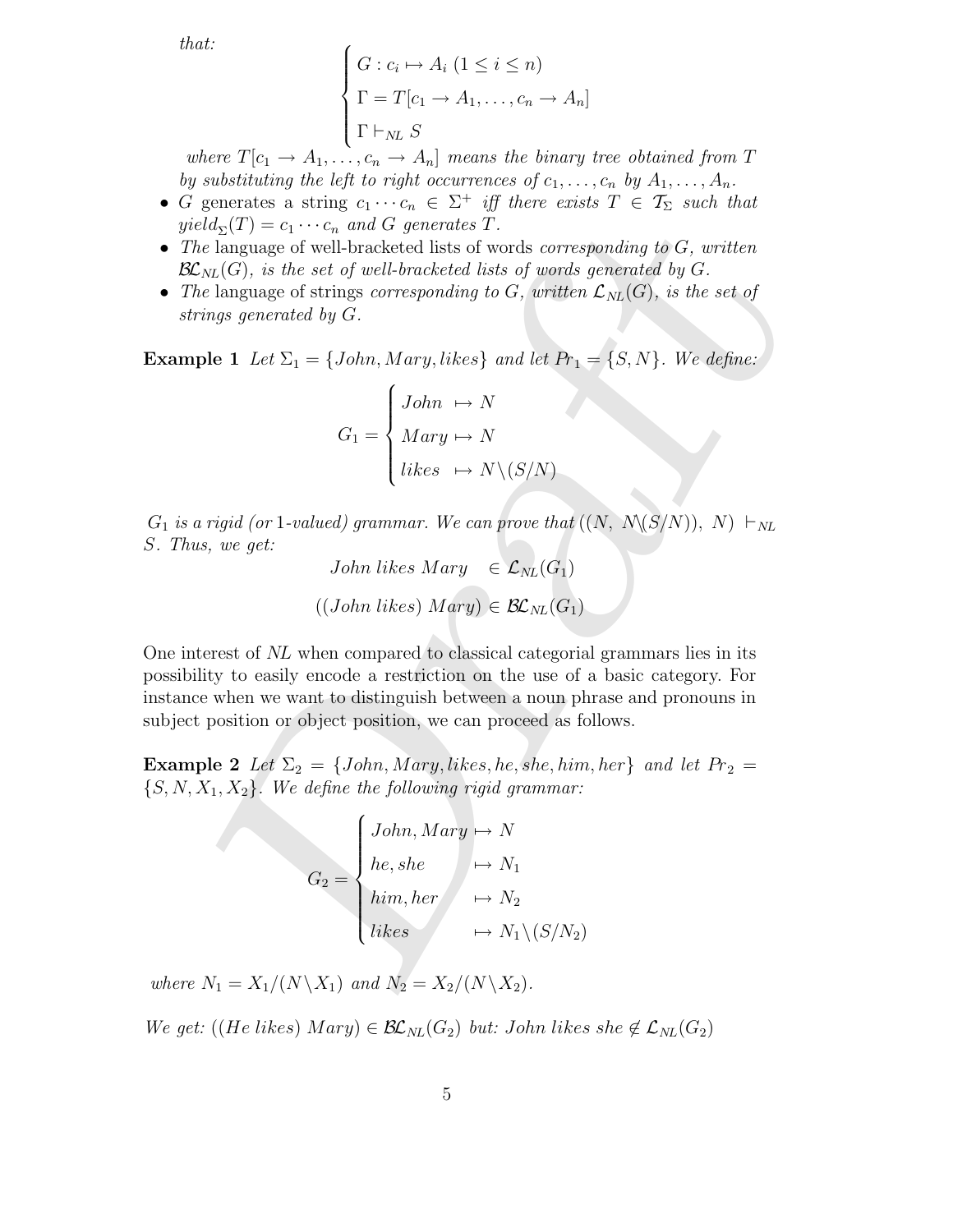that:

$$
\begin{cases}\nG: c_i \mapsto A_i \ (1 \leq i \leq n) \\
\Gamma = T[c_1 \to A_1, \dots, c_n \to A_n] \\
\Gamma \vdash_{NL} S\n\end{cases}
$$

where  $T[c_1 \rightarrow A_1, \ldots, c_n \rightarrow A_n]$  means the binary tree obtained from T by substituting the left to right occurrences of  $c_1, \ldots, c_n$  by  $A_1, \ldots, A_n$ .

- G generates a string  $c_1 \cdots c_n \in \Sigma^+$  iff there exists  $T \in \mathcal{T}_{\Sigma}$  such that  $yield_{\Sigma}(T) = c_1 \cdots c_n$  and G generates T.
- The language of well-bracketed lists of words *corresponding to*  $G$ *, written*  $\mathcal{BL}_{NL}(G)$ , is the set of well-bracketed lists of words generated by G.
- The language of strings corresponding to G, written  $\mathcal{L}_{NL}(G)$ , is the set of strings generated by G.

**Example 1** Let  $\Sigma_1 = \{John, Mary, likes\}$  and let  $Pr_1 = \{S, N\}$ . We define:

$$
G_1 = \begin{cases} John & \mapsto N \\ Mary & \mapsto N \\ likes & \mapsto N \setminus (S/N) \end{cases}
$$

 $G_1$  is a rigid (or 1-valued) grammar. We can prove that  $((N, N\langle S/N\rangle), N) \vdash_{NL}$ S. Thus, we get:

John likes Mary 
$$
\in
$$
  $\mathcal{L}_{NL}(G_1)$   
 $((John likes) Mary) \in \mathcal{BL}_{NL}(G_1)$ 

 $e^{id}S(T) = c_1 \cdots c_n$  and G generates  $\tilde{T}$ .<br>  $e^{id}S(T) = c_1 \cdots c_n$  and G generates  $\tilde{T}$ .<br>  $e^{id}S(M)$  is the set of well-bracketd lists of words corresponding to G, written<br>  $i_{Nn}(G)$ , is the set of well-bracketal itsis of One interest of NL when compared to classical categorial grammars lies in its possibility to easily encode a restriction on the use of a basic category. For instance when we want to distinguish between a noun phrase and pronouns in subject position or object position, we can proceed as follows.

**Example 2** Let  $\Sigma_2 = \{John, Mary, likes, he, she, him, her\}$  and let  $Pr_2 =$  $\{S, N, X_1, X_2\}$ . We define the following rigid grammar:

$$
G_2 = \begin{cases} John, Mary \rightarrow N \\ he, she \\ him, her \\ likes \rightarrow N_1 \setminus (S/N_2) \end{cases}
$$

where  $N_1 = X_1/(N \backslash X_1)$  and  $N_2 = X_2/(N \backslash X_2)$ .

We get: ((He likes) Mary)  $\in \mathcal{BL}_{NL}(G_2)$  but: John likes she  $\notin \mathcal{L}_{NL}(G_2)$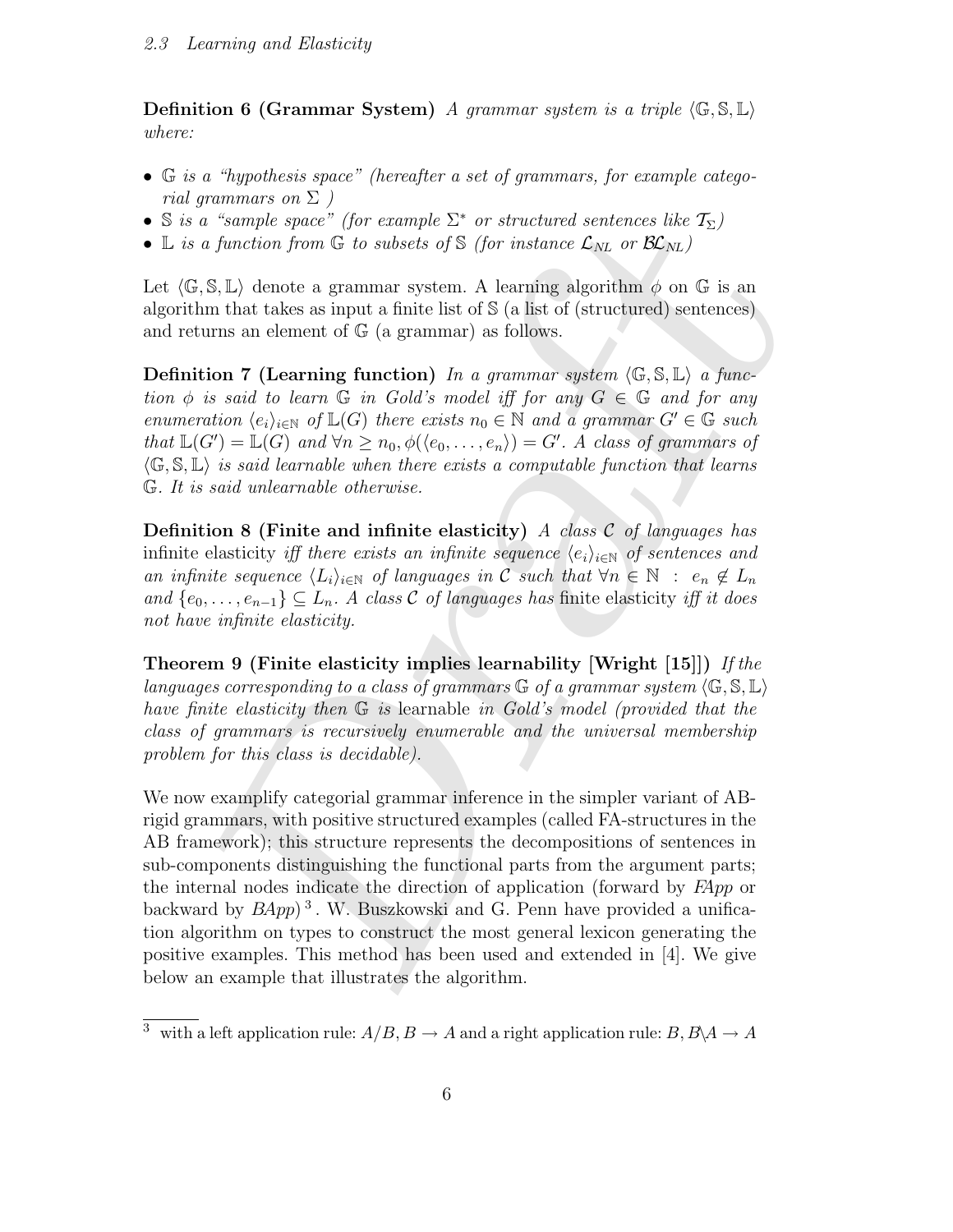**Definition 6 (Grammar System)** A grammar system is a triple  $\langle \mathbb{G}, \mathbb{S}, \mathbb{L} \rangle$ where:

- G is a "hypothesis space" (hereafter a set of grammars, for example categorial grammars on  $\Sigma$ )
- S is a "sample space" (for example  $\Sigma^*$  or structured sentences like  $\mathcal{T}_{\Sigma}$ )
- L is a function from G to subsets of S (for instance  $\mathcal{L}_{NL}$  or  $\mathcal{BL}_{NL}$ )

Let  $\langle \mathbb{G}, \mathbb{S}, \mathbb{L} \rangle$  denote a grammar system. A learning algorithm  $\phi$  on G is an algorithm that takes as input a finite list of S (a list of (structured) sentences) and returns an element of G (a grammar) as follows.

**Definition 7 (Learning function)** In a grammar system  $\langle \mathbb{G}, \mathbb{S}, \mathbb{L} \rangle$  a function  $\phi$  is said to learn  $\mathbb G$  in Gold's model iff for any  $G \in \mathbb G$  and for any enumeration  $\langle e_i \rangle_{i \in \mathbb{N}}$  of  $\mathbb{L}(G)$  there exists  $n_0 \in \mathbb{N}$  and a grammar  $G' \in \mathbb{G}$  such that  $\mathbb{L}(G') = \mathbb{L}(G)$  and  $\forall n \geq n_0, \phi(\langle e_0, \ldots, e_n \rangle) = G'.$  A class of grammars of  $\langle \mathbb{G}, \mathbb{S}, \mathbb{L} \rangle$  is said learnable when there exists a computable function that learns G. It is said unlearnable otherwise.

**Definition 8 (Finite and infinite elasticity)** A class  $C$  of languages has infinite elasticity iff there exists an infinite sequence  $\langle e_i \rangle_{i \in \mathbb{N}}$  of sentences and an infinite sequence  $\langle L_i \rangle_{i \in \mathbb{N}}$  of languages in C such that  $\forall n \in \mathbb{N} : e_n \notin L_n$ and  $\{e_0, \ldots, e_{n-1}\} \subseteq L_n$ . A class C of languages has finite elasticity iff it does not have infinite elasticity.

Theorem 9 (Finite elasticity implies learnability [Wright  $[15]$ ]) If the languages corresponding to a class of grammars  $\mathbb{G}$  of a grammar system  $(\mathbb{G}, \mathbb{S}, \mathbb{L})$ have finite elasticity then G is learnable in Gold's model (provided that the class of grammars is recursively enumerable and the universal membership problem for this class is decidable).

a "sample space" (for example  $\Sigma^*$  or structured sentences like  $T_{\Sigma}$ )<br>a function from G to subsets of S (for instance  $\mathcal{L}_{NL}$  or  $\mathbb{R}\mathcal{C}_{NL}$ )<br>s,  $\mathbb{R}$ .), alonot a guaranta system. A learning algorithm  $\phi$  We now examplify categorial grammar inference in the simpler variant of ABrigid grammars, with positive structured examples (called FA-structures in the AB framework); this structure represents the decompositions of sentences in sub-components distinguishing the functional parts from the argument parts; the internal nodes indicate the direction of application (forward by FApp or backward by  $BApp$ <sup>3</sup>. W. Buszkowski and G. Penn have provided a unification algorithm on types to construct the most general lexicon generating the positive examples. This method has been used and extended in [4]. We give below an example that illustrates the algorithm.

<sup>&</sup>lt;sup>3</sup> with a left application rule:  $A/B$ ,  $B \to A$  and a right application rule:  $B$ ,  $B \setminus A \to A$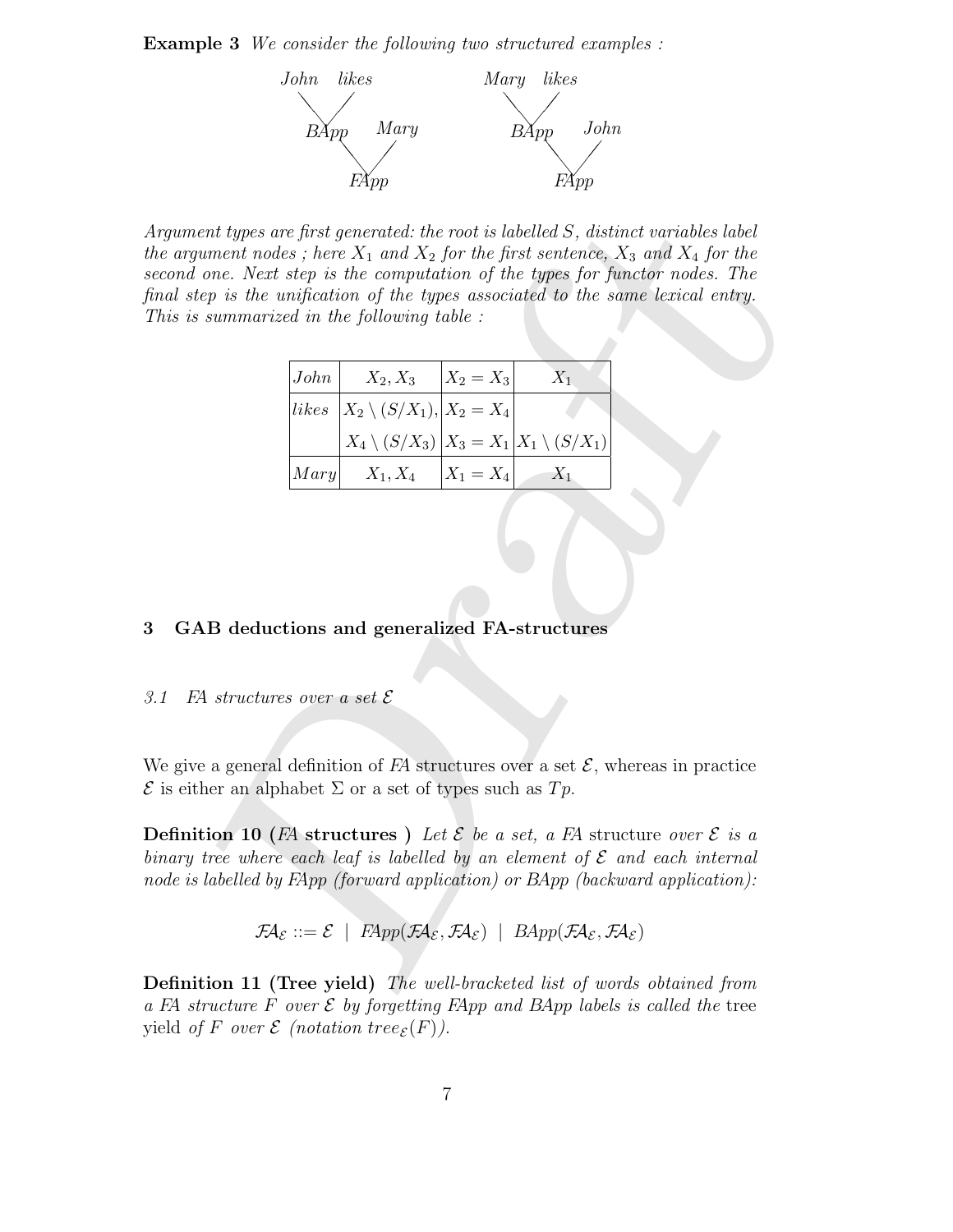**Example 3** We consider the following two structured examples :



ent types are first generated: the root is labelled S, distinct variables label<br>variant nodes; here  $X_1$  and  $X_2$  for the first sentence,  $X_3$  and  $X_4$  for the<br>one. Next step is the computation of the types for functo Argument types are first generated: the root is labelled S, distinct variables label the argument nodes; here  $X_1$  and  $X_2$  for the first sentence,  $X_3$  and  $X_4$  for the second one. Next step is the computation of the types for functor nodes. The final step is the unification of the types associated to the same lexical entry. This is summarized in the following table :

| John | $X_2, X_3$                                             | $ X_2 = X_3 $ | $X_1$ |
|------|--------------------------------------------------------|---------------|-------|
|      | likes $X_2 \setminus (S/X_1),  X_2 = X_4 $             |               |       |
|      | $X_4\setminus (S/X_3)$ $X_3 = X_1X_1\setminus (S/X_1)$ |               |       |
| Mary | $X_1, X_4$                                             | $ X_1 = X_4 $ | $X_1$ |

# 3 GAB deductions and generalized FA-structures

3.1 FA structures over a set  $\mathcal E$ 

We give a general definition of  $FA$  structures over a set  $\mathcal{E}$ , whereas in practice  $\mathcal E$  is either an alphabet  $\Sigma$  or a set of types such as  $Tp$ .

**Definition 10** (FA structures ) Let  $\mathcal{E}$  be a set, a FA structure over  $\mathcal{E}$  is a binary tree where each leaf is labelled by an element of  $\mathcal E$  and each internal node is labelled by FApp (forward application) or BApp (backward application):

$$
\mathcal{F} \mathcal{A}_{\mathcal{E}} ::= \mathcal{E} \mid \ \overline{F \mathcal{A} \mathcal{P} \mathcal{P}}(\mathcal{F} \mathcal{A}_{\mathcal{E}}, \mathcal{F} \mathcal{A}_{\mathcal{E}}) \mid \ \overline{B \mathcal{A} \mathcal{P} \mathcal{P}}(\mathcal{F} \mathcal{A}_{\mathcal{E}}, \mathcal{F} \mathcal{A}_{\mathcal{E}})
$$

Definition 11 (Tree yield) The well-bracketed list of words obtained from a FA structure F over  $\mathcal E$  by forgetting FApp and BApp labels is called the tree yield of F over  $\mathcal E$  (notation tree<sub> $\mathcal E$ </sub> $(F)$ ).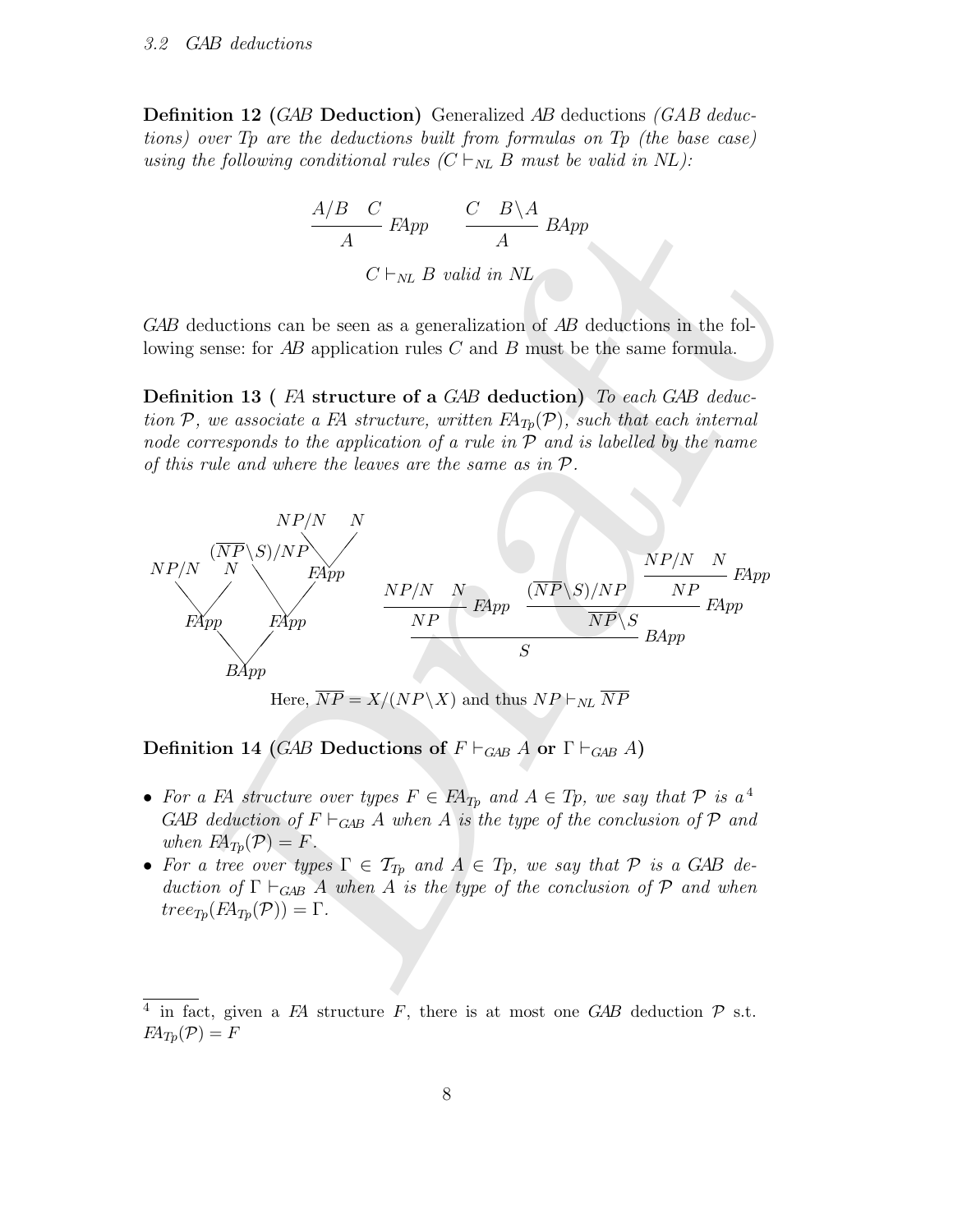**Definition 12 (GAB Deduction)** Generalized AB deductions (GAB deductions) over Tp are the deductions built from formulas on Tp (the base case) using the following conditional rules  $(C \vdash_{NL} B$  must be valid in NL):

$$
\frac{A/B \quad C}{A} \quad FApp \quad \frac{C \quad B \setminus A}{A} \quad BApp
$$

$$
C \vdash_{NL} B \quad valid \quad in \quad NL
$$

GAB deductions can be seen as a generalization of AB deductions in the following sense: for AB application rules C and B must be the same formula.

Definition 13 (FA structure of a GAB deduction) To each GAB deduction  $P$ , we associate a FA structure, written  $F\!A_{T_p}(P)$ , such that each internal node corresponds to the application of a rule in  $\mathcal P$  and is labelled by the name of this rule and where the leaves are the same as in P.



Definition 14 (GAB Deductions of  $F \vdash_{GAB} A$  or  $\Gamma \vdash_{GAB} A$ )

- For a FA structure over types  $F \in F\!A_{Tp}$  and  $A \in T_p$ , we say that  $P$  is  $a^4$ GAB deduction of  $F \vdash_{\text{GAB}} A$  when A is the type of the conclusion of P and when  $FA_{T_p}(\mathcal{P}) = F$ .
- For a tree over types  $\Gamma \in \mathcal{T}_{T_p}$  and  $A \in T_p$ , we say that  $\mathcal P$  is a GAB deduction of  $\Gamma \vdash_{GAB} A$  when A is the type of the conclusion of P and when  $tree_{Tp}(F\mathcal{A}_{Tp}(\mathcal{P})) = \Gamma.$

<sup>&</sup>lt;sup>4</sup> in fact, given a FA structure F, there is at most one GAB deduction  $P$  s.t.  $FA_{Tp}(\mathcal{P}) = F$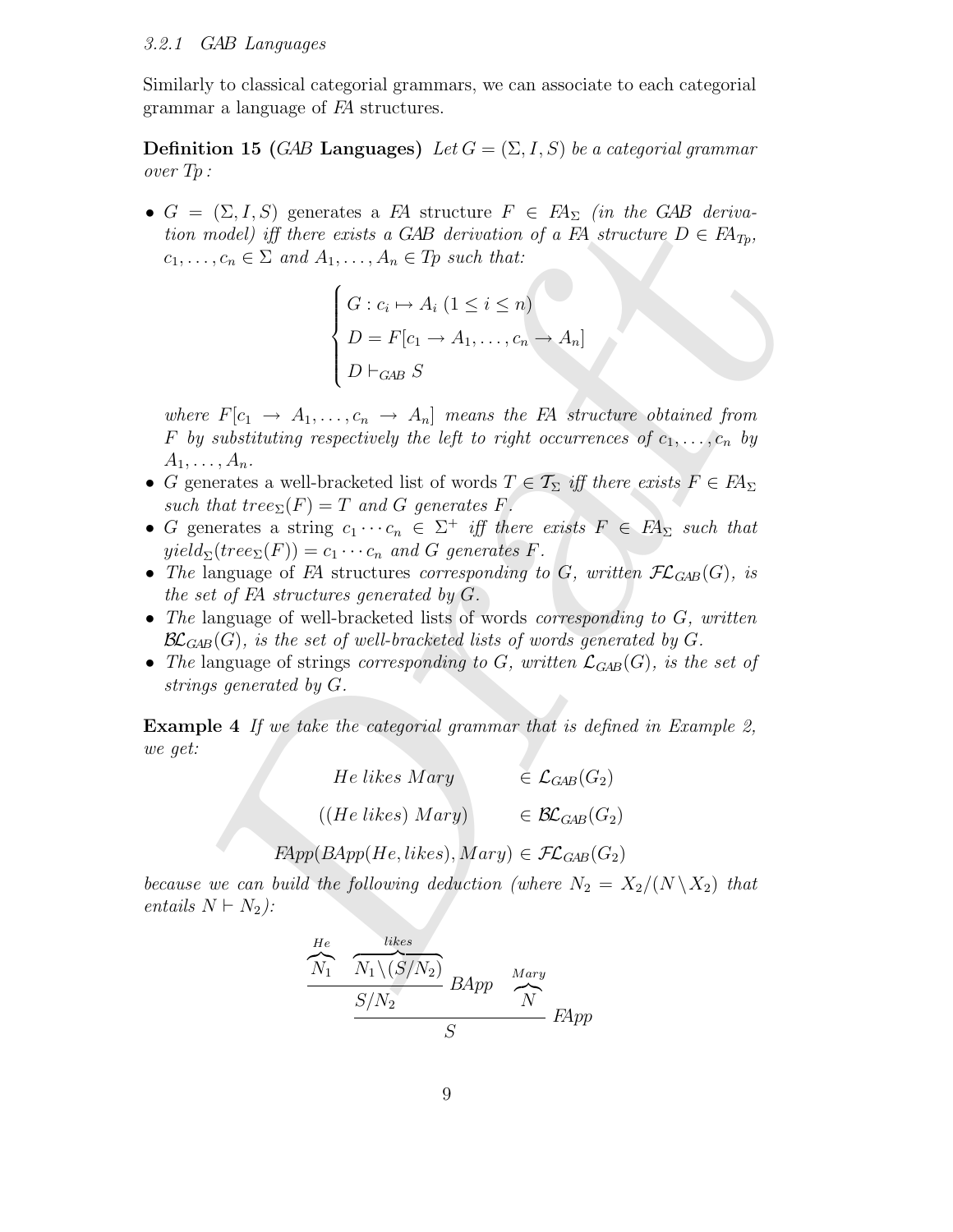#### 3.2.1 GAB Languages

Similarly to classical categorial grammars, we can associate to each categorial grammar a language of FA structures.

**Definition 15 (GAB Languages)** Let  $G = (\Sigma, I, S)$  be a categorial grammar over Tp :

•  $G = (\Sigma, I, S)$  generates a FA structure  $F \in F_A$  (in the GAB derivation model) iff there exists a GAB derivation of a FA structure  $D \in F\!A_{T_p}$ ,  $c_1, \ldots, c_n \in \Sigma$  and  $A_1, \ldots, A_n \in T_p$  such that:

$$
\begin{cases}\nG: c_i \mapsto A_i \ (1 \leq i \leq n) \\
D = F[c_1 \to A_1, \dots, c_n \to A_n] \\
D \vdash_{GAB} S\n\end{cases}
$$

(2,1, 1) generates a stringture  $F \in F_X$ ;<br>  $n_1, c_n \in \Sigma$  and  $A_1, ..., A_n \in T$  where  $F(X)$  (to the defined  $\alpha$  or  $B_1$  structure  $D \in B_{T_T}$ ,<br>  $n_1, c_n \in \Sigma$  and  $A_1, ..., A_n \in T_P$  such that:<br>  $\begin{cases}\nG : c_i \mapsto A_i \ (1 \leq i \leq n) \\
D = F[c_1 \rightarrow A_$ where  $F[c_1 \rightarrow A_1, \ldots, c_n \rightarrow A_n]$  means the FA structure obtained from F by substituting respectively the left to right occurrences of  $c_1, \ldots, c_n$  by  $A_1, \ldots, A_n$ .

- G generates a well-bracketed list of words  $T \in \mathcal{T}_{\Sigma}$  iff there exists  $F \in F\mathcal{A}_{\Sigma}$ such that tree $\Sigma(F) = T$  and G generates F.
- G generates a string  $c_1 \cdots c_n \in \Sigma^+$  iff there exists  $F \in FA_\Sigma$  such that  $yield_{\Sigma}(tree_{\Sigma}(F)) = c_1 \cdots c_n$  and G generates F.
- The language of FA structures corresponding to G, written  $\mathcal{FL}_{GAB}(G)$ , is the set of FA structures generated by G.
- The language of well-bracketed lists of words *corresponding to G*, written  $\mathcal{BL}_{GAB}(G)$ , is the set of well-bracketed lists of words generated by G.
- The language of strings corresponding to G, written  $\mathcal{L}_{GAB}(G)$ , is the set of strings generated by G.

Example 4 If we take the categorial grammar that is defined in Example 2, we get:

| He likes Mary         | $\in \mathcal{L}_{GAB}(G_2)$  |
|-----------------------|-------------------------------|
| $((He\,likes)\,Mary)$ | $\in \mathcal{BL}_{GAB}(G_2)$ |

 $F\!App(BApp(He, likes), Mary) \in \mathcal{FL}_{GAB}(G_2)$ 

because we can build the following deduction (where  $N_2 = X_2/(N \backslash X_2)$  that entails  $N \vdash N_2$ :

$$
\frac{He}{N_1} \frac{1}{N_1 \setminus (S/N_2)} \frac{Mary}{BApp} \frac{Mary}{N}
$$
  

$$
\frac{S/N_2}{S} \frac{Hary}{N}
$$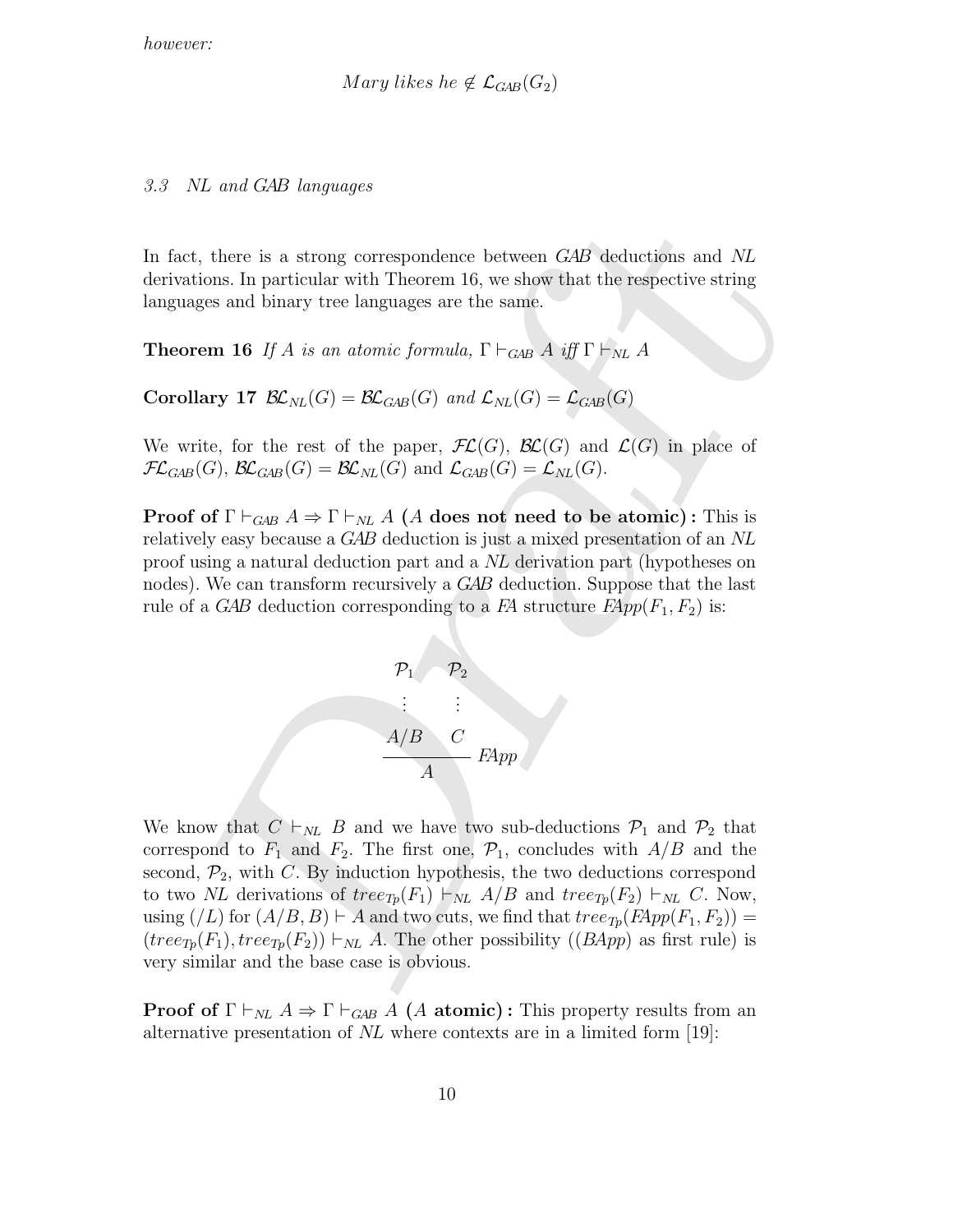Mary likes he  $\notin \mathcal{L}_{GAB}(G_2)$ 

#### 3.3 NL and GAB languages

In fact, there is a strong correspondence between GAB deductions and NL derivations. In particular with Theorem 16, we show that the respective string languages and binary tree languages are the same.

**Theorem 16** If A is an atomic formula,  $\Gamma \vdash_{GB} A$  iff  $\Gamma \vdash_{NL} A$ 

Corollary 17  $\mathcal{BL}_{NL}(G) = \mathcal{BL}_{GAB}(G)$  and  $\mathcal{L}_{NL}(G) = \mathcal{L}_{GAB}(G)$ 

We write, for the rest of the paper,  $\mathcal{FL}(G)$ ,  $\mathcal{BL}(G)$  and  $\mathcal{L}(G)$  in place of  $\mathcal{FL}_{GAB}(G)$ ,  $\mathcal{BL}_{GAB}(G) = \mathcal{BL}_{NL}(G)$  and  $\mathcal{L}_{GAB}(G) = \mathcal{L}_{NL}(G)$ .

**Proof of**  $\Gamma \vdash_{GAB} A \Rightarrow \Gamma \vdash_{NL} A$  (A does not need to be atomic): This is relatively easy because a GAB deduction is just a mixed presentation of an NL proof using a natural deduction part and a NL derivation part (hypotheses on nodes). We can transform recursively a GAB deduction. Suppose that the last rule of a GAB deduction corresponding to a FA structure  $FApp(F_1, F_2)$  is:



, there is a strong correspondence between  $GAB$  deductions and  $NL$ <br>
tions. In particular with Thoorem 16, we show that the respective string<br>
ges and binary tree languages are the same.<br> **em 16** If A is an atomic formula, We know that  $C \vdash_{NL} B$  and we have two sub-deductions  $\mathcal{P}_1$  and  $\mathcal{P}_2$  that correspond to  $F_1$  and  $F_2$ . The first one,  $\mathcal{P}_1$ , concludes with  $A/B$  and the second,  $\mathcal{P}_2$ , with C. By induction hypothesis, the two deductions correspond to two NL derivations of  $tree_{Tp}(F_1) \vdash_{NL} A/B$  and  $tree_{Tp}(F_2) \vdash_{NL} C$ . Now, using  $(2)$  for  $(A/B, B) \vdash A$  and two cuts, we find that  $tree_{Tp}(FApp(F_1, F_2)) =$  $(tree_{Tp}(F_1), tree_{Tp}(F_2)) \vdash_{NL} A$ . The other possibility  $((BApp)$  as first rule) is very similar and the base case is obvious.

**Proof of**  $\Gamma \vdash_{NL} A \Rightarrow \Gamma \vdash_{GAB} A$  (A atomic): This property results from an alternative presentation of NL where contexts are in a limited form [19]: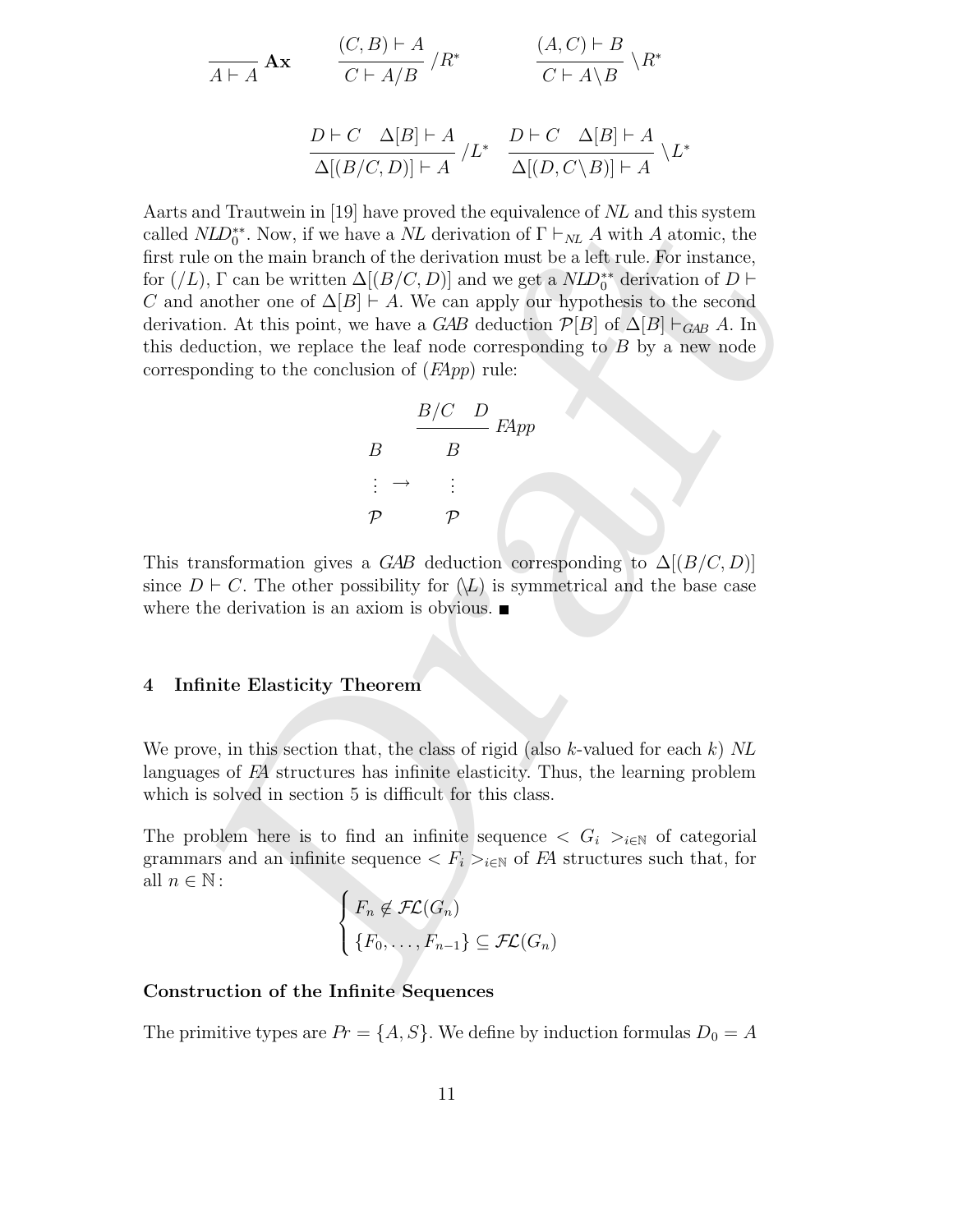$$
\frac{(C,B)\vdash A}{A\vdash A} \mathbf{A} \mathbf{x} \qquad \frac{(C,B)\vdash A}{C\vdash A/B} / R^* \qquad \frac{(A,C)\vdash B}{C\vdash A\setminus B} \setminus R^*
$$

$$
\frac{D \vdash C \quad \Delta[B] \vdash A}{\Delta[(B/C, D)] \vdash A} / L^* \quad \frac{D \vdash C \quad \Delta[B] \vdash A}{\Delta[(D, C \setminus B)] \vdash A} \setminus L^*
$$

and Trautwen in [19] have proved the equivalence of NL and this system<br>MZD<sup>2</sup><sup>2</sup>, Now, if we have a NL derivation of  $\Gamma \vdash_{NL} A$  with A atomic, the<br>le on the main branch of the derivation must be a left rule. For instance Aarts and Trautwein in [19] have proved the equivalence of NL and this system called  $NLD_0^{**}$ . Now, if we have a NL derivation of  $\Gamma \vdash_{NL} A$  with A atomic, the first rule on the main branch of the derivation must be a left rule. For instance, for  $($ /L),  $\Gamma$  can be written  $\Delta[(B/C, D)]$  and we get a  $NLD_0^{**}$  derivation of  $D \vdash$ C and another one of  $\Delta[B] \vdash A$ . We can apply our hypothesis to the second derivation. At this point, we have a GAB deduction  $\mathcal{P}[B]$  of  $\Delta[B] \vdash_{GAB} A$ . In this deduction, we replace the leaf node corresponding to  $B$  by a new node corresponding to the conclusion of  $(FApp)$  rule:

$$
B \xrightarrow{B/C} B
$$
  

$$
B \xrightarrow{\cdot} B
$$
  

$$
\vdots \rightarrow \vdots
$$
  

$$
P \xrightarrow{\cdot} P
$$

This transformation gives a GAB deduction corresponding to  $\Delta[(B/C, D)]$ since  $D \vdash C$ . The other possibility for  $(\mathcal{L})$  is symmetrical and the base case where the derivation is an axiom is obvious.

#### 4 Infinite Elasticity Theorem

We prove, in this section that, the class of rigid (also k-valued for each k)  $NL$ languages of FA structures has infinite elasticity. Thus, the learning problem which is solved in section 5 is difficult for this class.

The problem here is to find an infinite sequence  $\langle G_i \rangle_{i \in \mathbb{N}}$  of categorial grammars and an infinite sequence  $\langle F_i \rangle_{i \in \mathbb{N}}$  of FA structures such that, for all  $n \in \mathbb{N}$ :

$$
\begin{cases}\nF_n \notin \mathcal{FL}(G_n) \\
\{F_0, \ldots, F_{n-1}\} \subseteq \mathcal{FL}(G_n)\n\end{cases}
$$

## Construction of the Infinite Sequences

The primitive types are  $Pr = \{A, S\}$ . We define by induction formulas  $D_0 = A$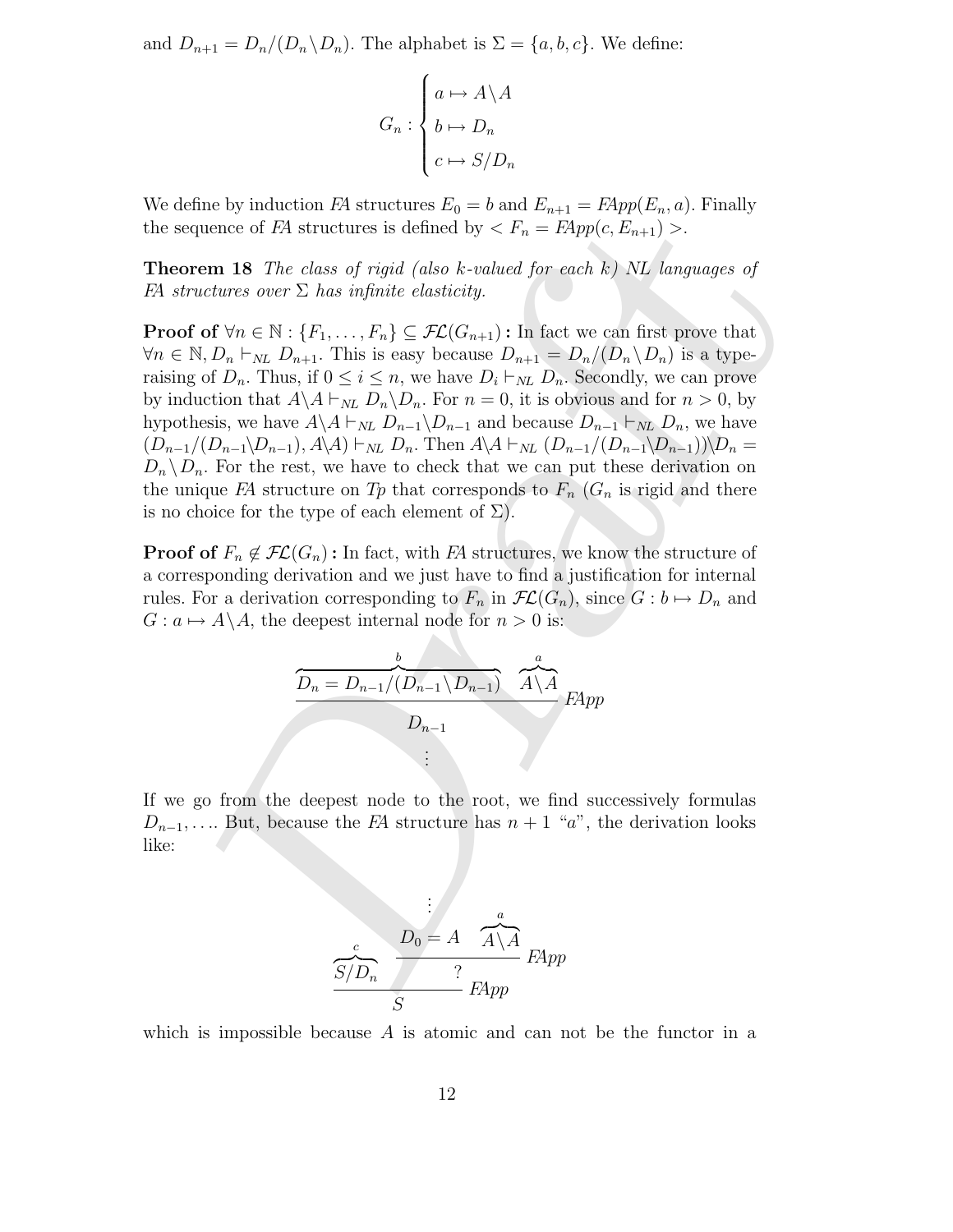and  $D_{n+1} = D_n/(D_n \backslash D_n)$ . The alphabet is  $\Sigma = \{a, b, c\}$ . We define:

$$
G_n: \begin{cases} a \mapsto A \backslash A \\ b \mapsto D_n \\ c \mapsto S/D_n \end{cases}
$$

We define by induction FA structures  $E_0 = b$  and  $E_{n+1} = FApp(E_n, a)$ . Finally the sequence of FA structures is defined by  $\langle F_n = FApp(c, E_{n+1}) \rangle$ .

**Theorem 18** The class of rigid (also k-valued for each  $k$ ) NL languages of FA structures over  $\Sigma$  has infinite elasticity.

mean of *TA* structures is defined by  $\propto F_n = Pkpp(e, E_{n+1}) >$ .<br> **em 18** The class of rigid (also k-valued for each k) NL languages of<br>
technes over  $\Sigma$  has infinite elasticity.<br>
of  $\forall n \in \mathbb{N}$ :  $\{F_1, \ldots, F_n\} \subseteq \mathcal{F}L(G_{n$ **Proof of**  $\forall n \in \mathbb{N}: \{F_1, \ldots, F_n\} \subseteq \mathcal{FL}(G_{n+1})$ : In fact we can first prove that  $\forall n \in \mathbb{N}, D_n \vdash_{NL} D_{n+1}$ . This is easy because  $D_{n+1} = D_n/(D_n \backslash D_n)$  is a typeraising of  $D_n$ . Thus, if  $0 \le i \le n$ , we have  $D_i \vdash_{NL} D_n$ . Secondly, we can prove by induction that  $A \setminus A \vdash_{NL} D_n \setminus D_n$ . For  $n = 0$ , it is obvious and for  $n > 0$ , by hypothesis, we have  $A \ A \vdash_{NL} D_{n-1} \ D_{n-1}$  and because  $D_{n-1} \vdash_{NL} D_n$ , we have  $(D_{n-1}/(D_{n-1}\setminus D_{n-1}), A\setminus A) \vdash_{NL} D_n$ . Then  $A\setminus A \vdash_{NL} (D_{n-1}/(D_{n-1}\setminus D_{n-1}))\setminus D_n =$  $D_n \backslash D_n$ . For the rest, we have to check that we can put these derivation on the unique FA structure on Tp that corresponds to  $F_n$  ( $G_n$  is rigid and there is no choice for the type of each element of  $\Sigma$ ).

**Proof of**  $F_n \notin \mathcal{FL}(G_n)$ : In fact, with FA structures, we know the structure of a corresponding derivation and we just have to find a justification for internal rules. For a derivation corresponding to  $F_n$  in  $\mathcal{FL}(G_n)$ , since  $G : b \mapsto D_n$  and  $G: a \mapsto A\backslash A$ , the deepest internal node for  $n > 0$  is:

$$
\underbrace{\overbrace{D_n = D_{n-1}/(D_{n-1} \setminus D_{n-1})}^{b} \cdot \overbrace{A \setminus A}^{a}}_{\vdots} \overbrace{PApp}
$$

If we go from the deepest node to the root, we find successively formulas  $D_{n-1}, \ldots$  But, because the FA structure has  $n+1$  "a", the derivation looks like:

$$
\frac{c}{S/D_n} \cdot \frac{D_0 = A \cdot \overbrace{A \setminus A}^a}{P^2} \cdot \frac{P}{P^2}
$$

which is impossible because  $A$  is atomic and can not be the functor in a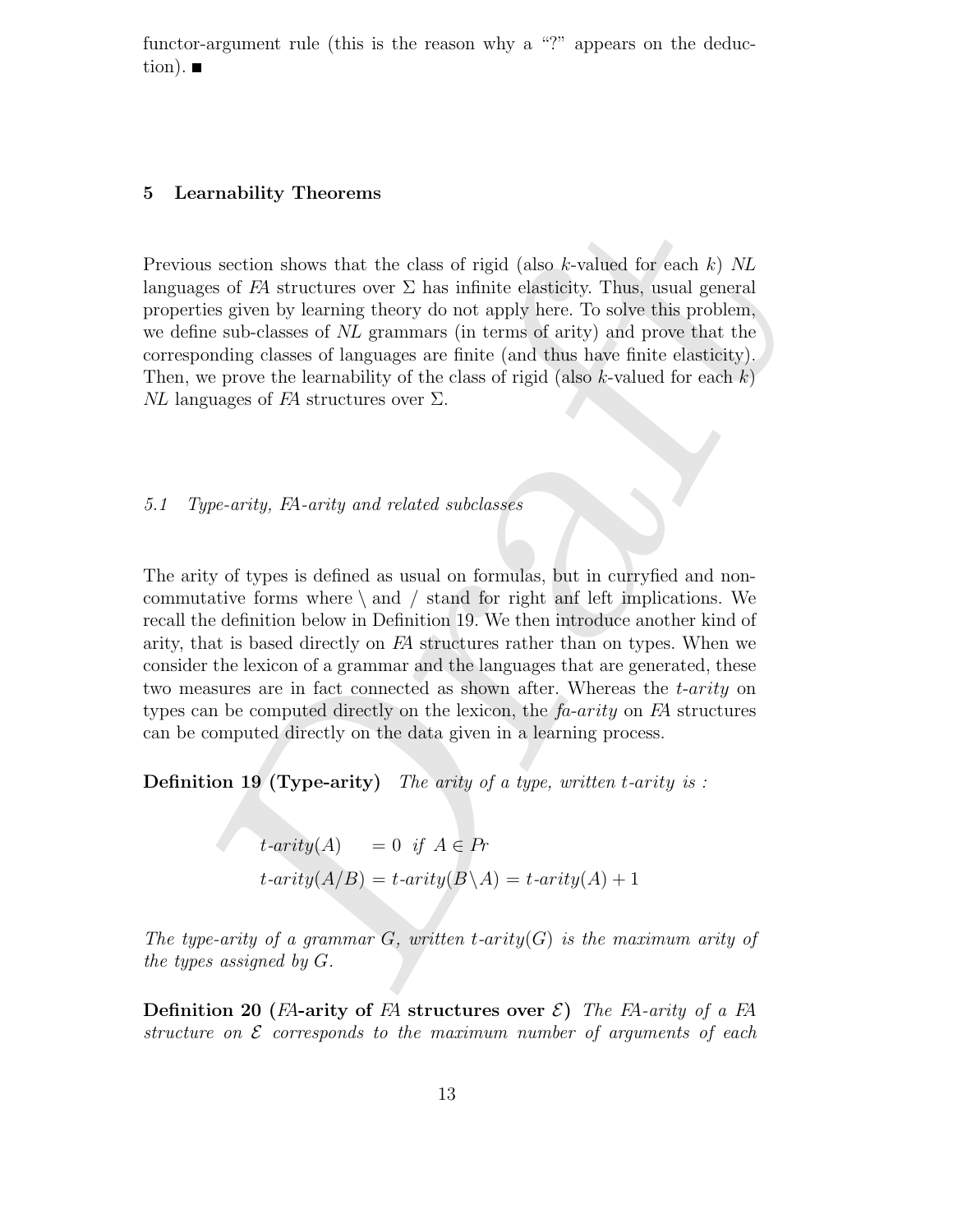functor-argument rule (this is the reason why a "?" appears on the deduction).  $\blacksquare$ 

#### 5 Learnability Theorems

Previous section shows that the class of rigid (also  $k$ -valued for each k) NL languages of FA structures over  $\Sigma$  has infinite elasticity. Thus, usual general properties given by learning theory do not apply here. To solve this problem, we define sub-classes of NL grammars (in terms of arity) and prove that the corresponding classes of languages are finite (and thus have finite elasticity). Then, we prove the learnability of the class of rigid (also k-valued for each  $k$ )  $NL$  languages of FA structures over  $\Sigma$ .

5.1 Type-arity, FA-arity and related subclasses

as section shows that the class of rigid (also *k*-valued for each *k*) *NL*<br>ges of *FA* structures over  $\Sigma$  has infinite elasticity. Thus, usual general<br>ties given by learning theory do not apply here. To solve this pro The arity of types is defined as usual on formulas, but in curryfied and noncommutative forms where  $\langle$  and  $\rangle$  stand for right and left implications. We recall the definition below in Definition 19. We then introduce another kind of arity, that is based directly on FA structures rather than on types. When we consider the lexicon of a grammar and the languages that are generated, these two measures are in fact connected as shown after. Whereas the t-arity on types can be computed directly on the lexicon, the  $fa-arity$  on  $FA$  structures can be computed directly on the data given in a learning process.

**Definition 19 (Type-arity)** The arity of a type, written t-arity is :

 $t$ -arity(A) = 0 if  $A \in Pr$  $t$ -arity $(A/B) = t$ -arity $(B \setminus A) = t$ -arity $(A) + 1$ 

The type-arity of a grammar  $G$ , written t-arity  $(G)$  is the maximum arity of the types assigned by G.

**Definition 20** (FA-arity of FA structures over  $\mathcal{E}$ ) The FA-arity of a FA structure on  $\mathcal E$  corresponds to the maximum number of arguments of each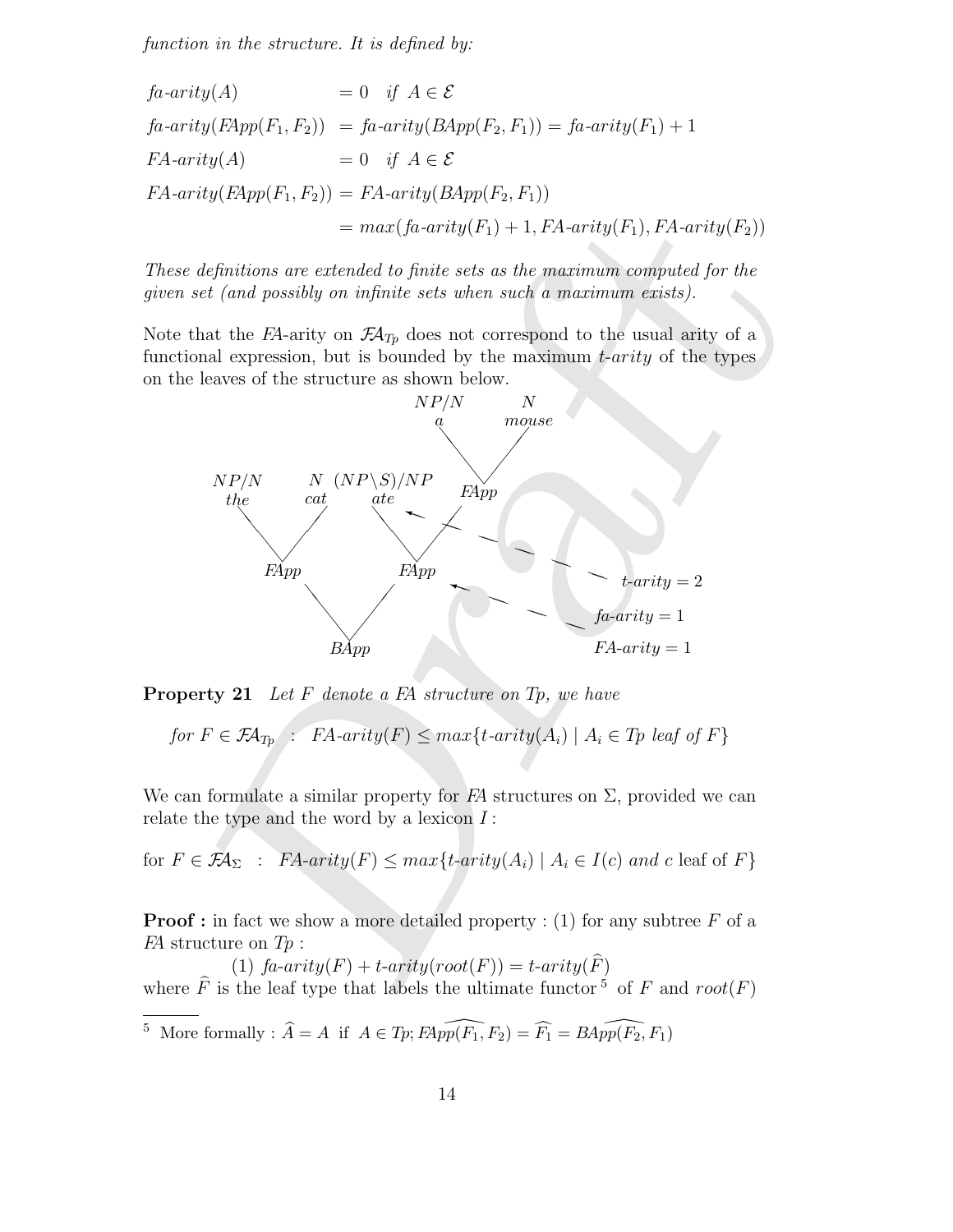function in the structure. It is defined by:

$$
fa-arity(A) = 0 \quad \text{if } A \in \mathcal{E}
$$
\n
$$
fa-arity( FApp(F_1, F_2) ) = fa-arity( BApp(F_2, F_1) ) = fa-arity(F_1) + 1
$$
\n
$$
FA-arity(A) = 0 \quad \text{if } A \in \mathcal{E}
$$
\n
$$
FA-arity( FApp(F_1, F_2) ) = FA-arity( BApp(F_2, F_1) )
$$
\n
$$
= max( fa-arity(F_1) + 1, FA-arity(F_1), FA-arity(F_2) )
$$

These definitions are extended to finite sets as the maximum computed for the given set (and possibly on infinite sets when such a maximum exists).

Note that the  $FA$ -arity on  $\mathcal{F}A_{Tp}$  does not correspond to the usual arity of a functional expression, but is bounded by the maximum t-arity of the types on the leaves of the structure as shown below.



**Property 21** Let  $F$  denote a  $FA$  structure on  $Tp$ , we have

for 
$$
F \in \mathcal{F}A_{Tp}
$$
:  $FA\text{-}arity(F) \leq max\{t\text{-}arity(A_i) \mid A_i \in Tp \text{ leaf of } F\}$ 

We can formulate a similar property for  $FA$  structures on  $\Sigma$ , provided we can relate the type and the word by a lexicon  $I$ :

for 
$$
F \in \mathcal{F}A_{\Sigma}
$$
:  $FA\text{-}arity(F) \leq max\{t\text{-}arity(A_i) \mid A_i \in I(c) \text{ and } c \text{ leaf of } F\}$ 

**Proof :** in fact we show a more detailed property : (1) for any subtree  $F$  of a  $FA$  structure on  $Tp$ :

(1)  $\text{fa-arity}(F) + \text{t-arity}(\text{root}(F)) = \text{t-arity}(F)$ where  $\widehat{F}$  is the leaf type that labels the ultimate functor <sup>5</sup> of F and root(F)

<sup>5</sup> More formally :  $\widehat{A} = A$  if  $A \in T_p$ ;  $F\widehat{App(F_1, F_2)} = \widehat{F_1} = BA\widehat{pp(F_2, F_1)}$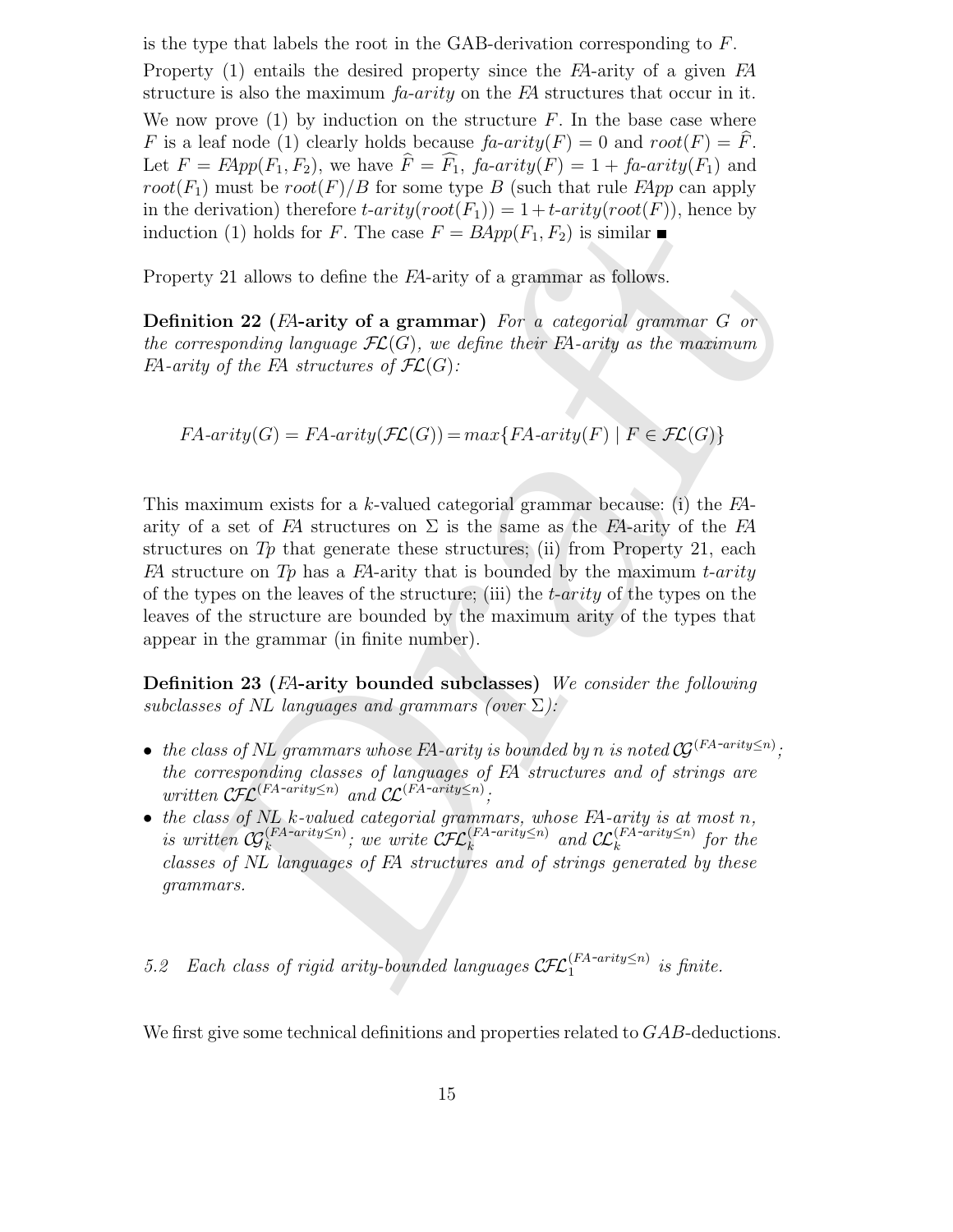is the type that labels the root in the GAB-derivation corresponding to  $F$ . Property (1) entails the desired property since the FA-arity of a given FA structure is also the maximum  $fa-arity$  on the FA structures that occur in it. We now prove  $(1)$  by induction on the structure F. In the base case where F is a leaf node (1) clearly holds because  $fa\text{-}arity(F) = 0$  and  $root(F) = F$ . Let  $F = FApp(F_1, F_2)$ , we have  $F = F_1$ ,  $fa\text{-}arity(F_1) = 1 + fa\text{-}arity(F_1)$  and root( $F_1$ ) must be root( $F$ )/B for some type B (such that rule  $FApp$  can apply in the derivation) therefore  $t$ -arity( $root(F_1)$ ) = 1+t-arity( $root(F)$ ), hence by induction (1) holds for F. The case  $F = BApp(F_1, F_2)$  is similar

Property 21 allows to define the FA-arity of a grammar as follows.

Definition 22 (FA-arity of a grammar) For a categorial grammar G or the corresponding language  $\mathcal{FL}(G)$ , we define their FA-arity as the maximum FA-arity of the FA structures of  $\mathcal{FL}(G)$ :

$$
FA\text{-}arity(G) = FA\text{-}arity(\mathcal{FL}(G)) = max\{FA\text{-}arity(F) \mid F \in \mathcal{FL}(G)\}
$$

Let Watch the Context Control (Fig. 1) = 1+carringy over (Fig. 1). Hence by<br>
ton (1) holds for  $F$ . The case  $F = BApp(F_1, F_2)$  is similar **n**<br>
ty 21 allows to define the El-arity of a grammar as follows.<br>
tion 22 (El-arity o This maximum exists for a k-valued categorial grammar because: (i) the FAarity of a set of FA structures on  $\Sigma$  is the same as the FA-arity of the FA structures on  $T_p$  that generate these structures; (ii) from Property 21, each FA structure on Tp has a FA-arity that is bounded by the maximum t-arity of the types on the leaves of the structure; (iii) the  $t$ -arity of the types on the leaves of the structure are bounded by the maximum arity of the types that appear in the grammar (in finite number).

Definition 23 (FA-arity bounded subclasses) We consider the following subclasses of NL languages and grammars (over  $\Sigma$ ):

- the class of NL grammars whose FA-arity is bounded by n is noted  $\mathcal{G}^{(FA-arity \leq n)}$ ; the corresponding classes of languages of FA structures and of strings are written  $\mathcal{CFL}^{(FA-arity \leq n)}$  and  $\mathcal{CL}^{(FA-arity \leq n)}$ ,
- the class of  $NL$  k-valued categorial grammars, whose  $FA$ -arity is at most n, is written  $\mathcal{G}_k^{(FA-arity\leq n)}$ ; we write  $\mathcal{CFL}_k^{(FA-arity\leq n)}$  and  $\mathcal{CL}_k^{(FA-arity\leq n)}$  for the classes of NL languages of FA structures and of strings generated by these grammars.

5.2 Each class of rigid arity-bounded languages  $\text{CFL}_1^{(FA-arity\leq n)}$  is finite.

We first give some technical definitions and properties related to GAB-deductions.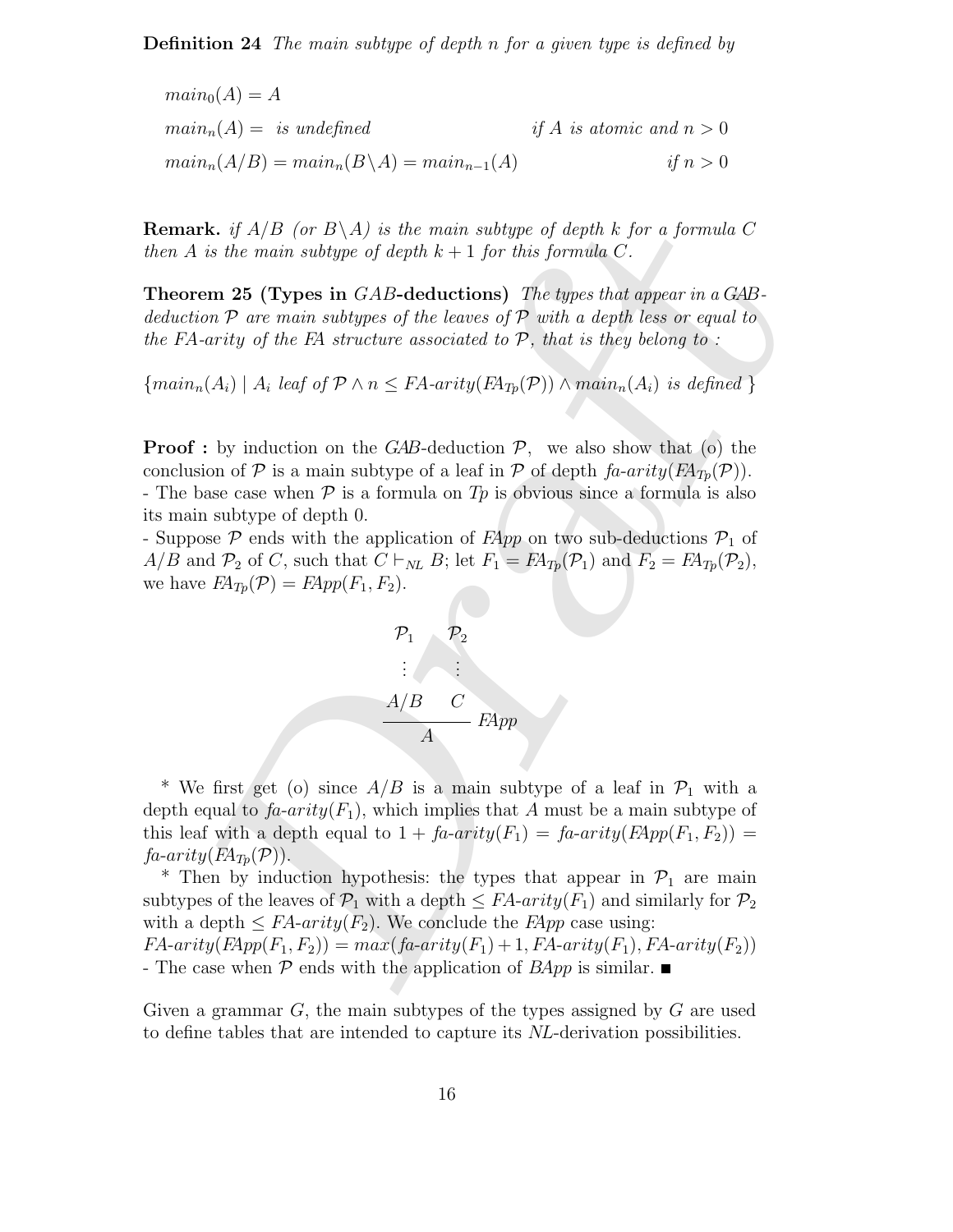Definition 24 The main subtype of depth n for a given type is defined by

$$
main0(A) = A
$$
  
\n
$$
mainn(A) = is undefined
$$
  
\n
$$
mainn(A/B) = mainn(B\A) = mainn-1(A)
$$
  
\nif A is atomic and n > 0  
\nif n > 0

**Remark.** if  $A/B$  (or  $B\setminus A$ ) is the main subtype of depth k for a formula C then A is the main subtype of depth  $k+1$  for this formula C.

Theorem 25 (Types in GAB-deductions) The types that appear in a GABdeduction  $P$  are main subtypes of the leaves of  $P$  with a depth less or equal to the FA-arity of the FA structure associated to  $P$ , that is they belong to:

 $\{main_n(A_i) | A_i \text{ leaf of } \mathcal{P} \land n \leq FA\text{-}arity(FA_{Tp}(\mathcal{P})) \land main_n(A_i) \text{ is defined }\}$ 

**Proof**: by induction on the GAB-deduction  $P$ , we also show that (o) the conclusion of P is a main subtype of a leaf in P of depth  $fa\text{-}arity(FA_{T_p}(P)).$ - The base case when  $P$  is a formula on  $Tp$  is obvious since a formula is also its main subtype of depth 0.

- Suppose  $P$  ends with the application of  $FApp$  on two sub-deductions  $P_1$  of  $A/B$  and  $\mathcal{P}_2$  of C, such that  $C \vdash_{NL} B$ ; let  $F_1 = FA_{Tp}(\mathcal{P}_1)$  and  $F_2 = FA_{Tp}(\mathcal{P}_2)$ , we have  $FA_{Tp}(\mathcal{P}) = FApp(F_1, F_2)$ .



**rk.** if  $A/B$  (or  $B \setminus A$ ) is the main subtype of depth k for a formula C<br>is the main subtype of depth  $k + 1$  for this formula C.<br> **end 25** (Types in GAB-deductions) The types that appear in a GAB-<br>
con  $P$  are main subty \* We first get (o) since  $A/B$  is a main subtype of a leaf in  $\mathcal{P}_1$  with a depth equal to  $f_a$ -arity $(F_1)$ , which implies that A must be a main subtype of this leaf with a depth equal to  $1 + \text{fa-arity}(F_1) = \text{fa-arity}(FApp(F_1, F_2)) =$  $fa\text{-}arity(FA_{T_p}(\mathcal{P}))$ .

\* Then by induction hypothesis: the types that appear in  $\mathcal{P}_1$  are main subtypes of the leaves of  $\mathcal{P}_1$  with a depth  $\leq FA\text{-}arity(F_1)$  and similarly for  $\mathcal{P}_2$ with a depth  $\leq FA\text{-}arity(F_2)$ . We conclude the *FApp* case using:

 $FA\text{-}arity( F\text{-}App(F_1, F_2)) = max(f\text{-}arity(F_1) + 1, FA\text{-}arity(F_1), FA\text{-}arity(F_2))$ - The case when  $P$  ends with the application of  $BApp$  is similar.

Given a grammar  $G$ , the main subtypes of the types assigned by  $G$  are used to define tables that are intended to capture its NL-derivation possibilities.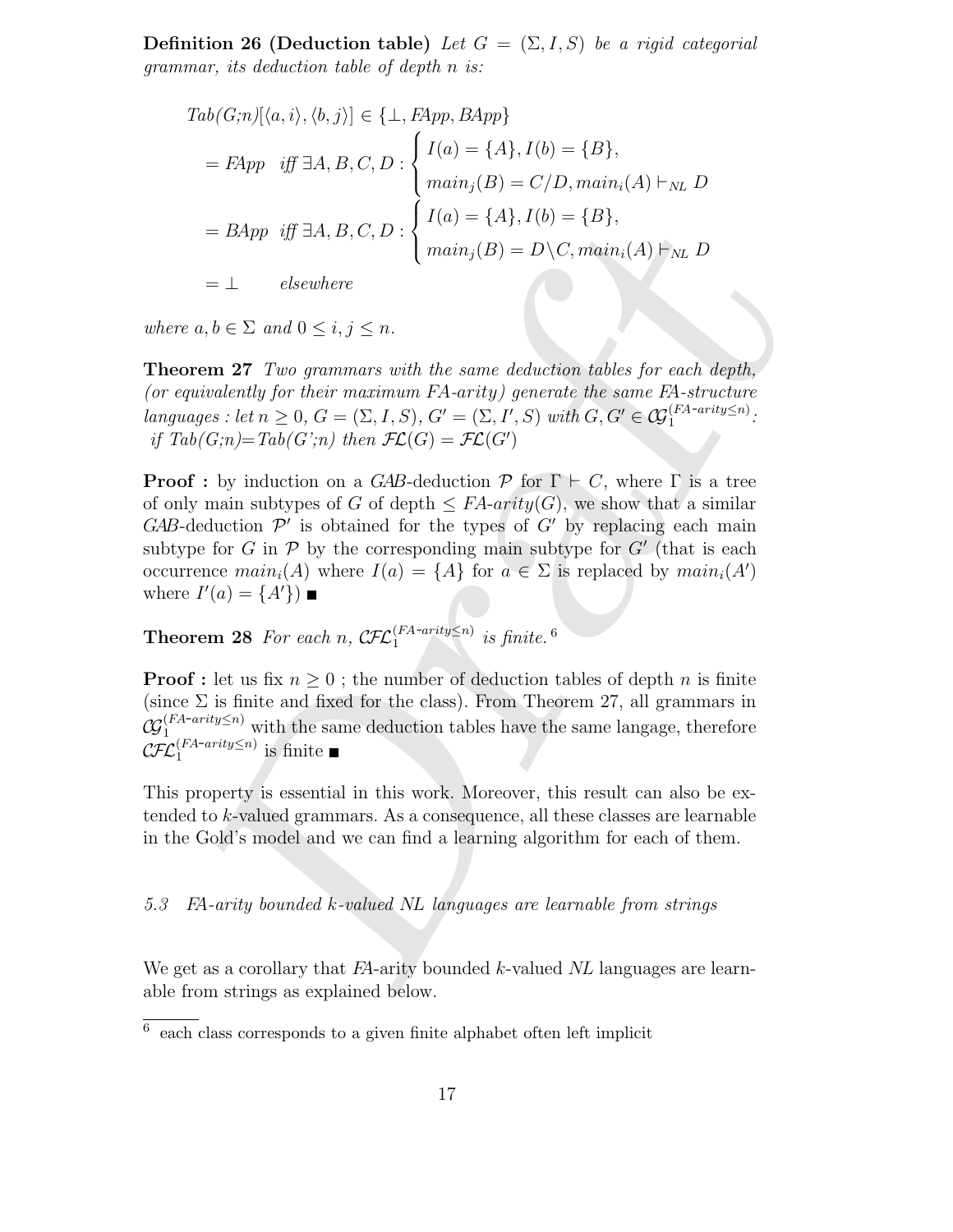**Definition 26 (Deduction table)** Let  $G = (\Sigma, I, S)$  be a rigid categorial grammar, its deduction table of depth n is:

$$
Tab(G;n)[\langle a,i\rangle,\langle b,j\rangle] \in \{\bot, FApp, BApp\}
$$
  
=  $FApp$  iff  $\exists A, B, C, D$ : 
$$
\begin{cases} I(a) = \{A\}, I(b) = \{B\}, \\ main_j(B) = C/D, main_i(A) \vdash_{NL} D \end{cases}
$$
  
=  $BApp$  iff  $\exists A, B, C, D$ : 
$$
\begin{cases} I(a) = \{A\}, I(b) = \{B\}, \\ main_j(B) = D \setminus C, main_i(A) \vdash_{NL} D \end{cases}
$$

 $= \perp$  elsewhere

where  $a, b \in \Sigma$  and  $0 \leq i, j \leq n$ .

Theorem 27 Two grammars with the same deduction tables for each depth, (or equivalently for their maximum FA-arity) generate the same FA-structure languages : let  $n \geq 0$ ,  $G = (\Sigma, I, S)$ ,  $G' = (\Sigma, I', S)$  with  $G, G' \in \mathcal{G}_1^{(FA-arity \leq n)}$ . if  $Tab(G;n)=Tab(G^{\prime};n)$  then  $\mathcal{FL}(G)=\mathcal{FL}(G^{\prime})$ 

= BApp iff  $\exists A, B, C, D : \begin{cases} I(a) = \{A\}, I(b) = \{B\}, \\ main_i(B) = D \setminus C, main_i(A) \in_M, D \end{cases}$ <br>
=  $\bot$  clsewhere<br>  $a, b \in \Sigma$  and  $0 \le i, j \le n$ .<br> **end**  $2^i$  and  $\bot$  and  $\bot$  and  $\bot$  and  $\bot$  and  $\bot$  and  $\bot$  and  $\bot$  and  $\bot$ <br>  $\bot$  and  $\bot$  an **Proof**: by induction on a GAB-deduction  $\mathcal{P}$  for  $\Gamma \vdash C$ , where  $\Gamma$  is a tree of only main subtypes of G of depth  $\leq FA\text{-}arity(G)$ , we show that a similar  $GAB$ -deduction  $\mathcal{P}'$  is obtained for the types of  $G'$  by replacing each main subtype for G in  $\mathcal P$  by the corresponding main subtype for G' (that is each occurrence  $main_i(A)$  where  $I(a) = \{A\}$  for  $a \in \Sigma$  is replaced by  $main_i(A')$ where  $I'(a) = \{A'\}\)$ 

**Theorem 28** For each n,  $\mathcal{CFL}_1^{(FA-arity\leq n)}$  is finite.<sup>6</sup>

**Proof**: let us fix  $n \geq 0$ ; the number of deduction tables of depth n is finite (since  $\Sigma$  is finite and fixed for the class). From Theorem 27, all grammars in  $\omega$  $(FA-arity \le n)$  with the same deduction tables have the same langage, therefore CFL  $\int_{1}^{[FA-arity\leq n]}$  is finite

This property is essential in this work. Moreover, this result can also be extended to  $k$ -valued grammars. As a consequence, all these classes are learnable in the Gold's model and we can find a learning algorithm for each of them.

# 5.3 FA-arity bounded k-valued NL languages are learnable from strings

We get as a corollary that  $FA$ -arity bounded k-valued NL languages are learnable from strings as explained below.

<sup>6</sup> each class corresponds to a given finite alphabet often left implicit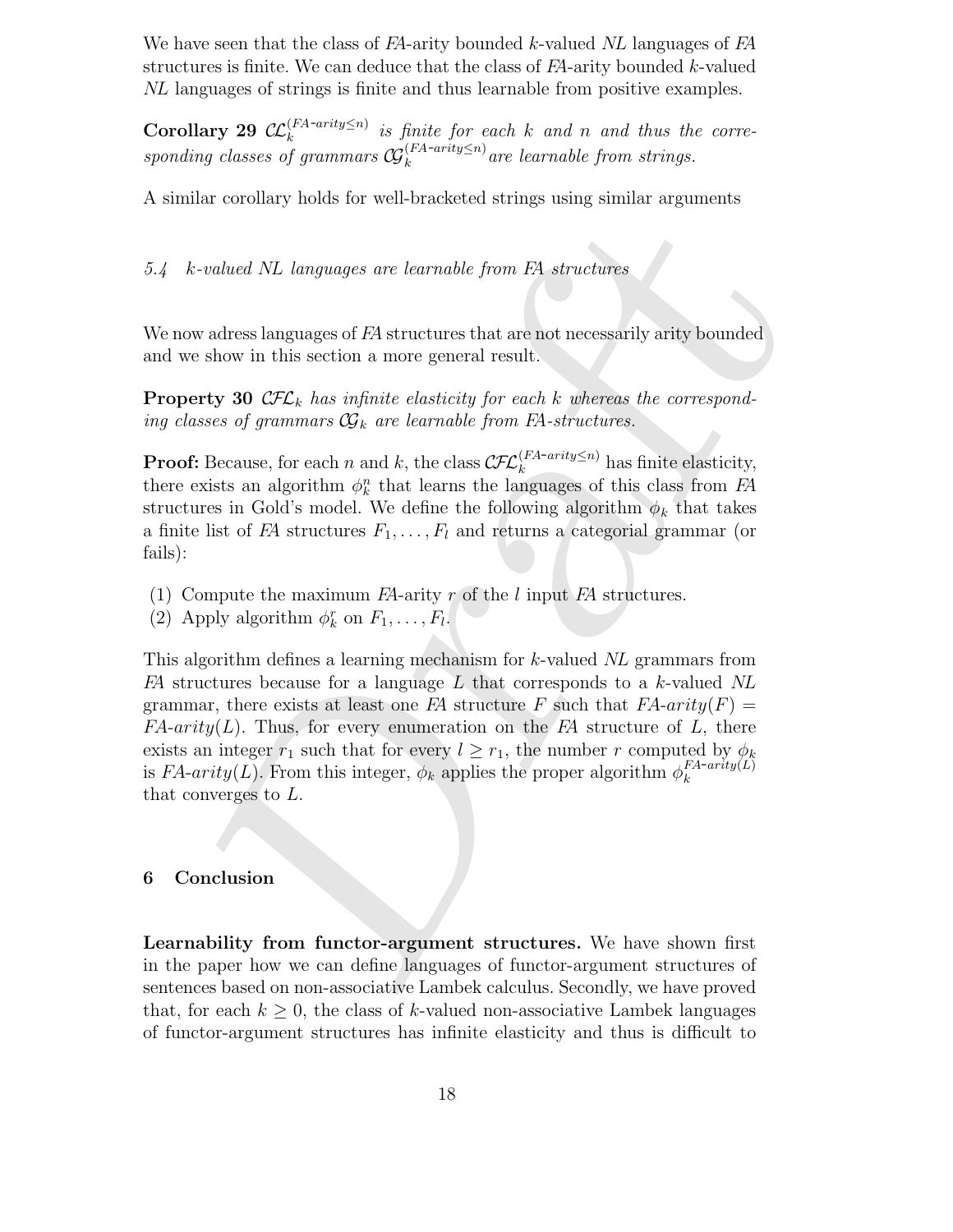We have seen that the class of FA-arity bounded k-valued NL languages of FA structures is finite. We can deduce that the class of  $FA$ -arity bounded  $k$ -valued NL languages of strings is finite and thus learnable from positive examples.

Corollary 29  $\mathcal{LL}_{k}^{(FA-arity\leq n)}$  is finite for each k and n and thus the corresponding classes of grammars  $\mathcal{G}_k^{(FA\text{-}arity\leq n)}$  are learnable from strings.

A similar corollary holds for well-bracketed strings using similar arguments

5.4 k-valued NL languages are learnable from FA structures

We now adress languages of FA structures that are not necessarily arity bounded and we show in this section a more general result.

**Property 30 CFL**<sub>k</sub> has infinite elasticity for each k whereas the corresponding classes of grammars  $\mathcal{G}_k$  are learnable from FA-structures.

**Proof:** Because, for each n and k, the class  $\mathcal{CFL}_k^{(FA-arity\leq n)}$  has finite elasticity, there exists an algorithm  $\phi_k^n$  that learns the languages of this class from  $FA$ structures in Gold's model. We define the following algorithm  $\phi_k$  that takes a finite list of FA structures  $F_1, \ldots, F_l$  and returns a categorial grammar (or fails):

- (1) Compute the maximum  $FA$ -arity r of the l input  $FA$  structures.
- (2) Apply algorithm  $\phi_k^r$  on  $F_1, \ldots, F_l$ .

-valued NL languages are learnable from E4 structures<br>waders hanguages of E4 structures that are not necessarily arity bounded<br>show in this section a more general result.<br>there are not necessarily arity bounded<br>state of O This algorithm defines a learning mechanism for k-valued NL grammars from  $FA$  structures because for a language L that corresponds to a k-valued NL grammar, there exists at least one FA structure F such that  $FA-arity(F)$  =  $FA-arity(L)$ . Thus, for every enumeration on the FA structure of L, there exists an integer  $r_1$  such that for every  $l \geq r_1$ , the number r computed by  $\phi_k$ is FA-arity(L). From this integer,  $\phi_k$  applies the proper algorithm  $\phi_k^{FA-arity}(L)$ k that converges to L.

#### 6 Conclusion

Learnability from functor-argument structures. We have shown first in the paper how we can define languages of functor-argument structures of sentences based on non-associative Lambek calculus. Secondly, we have proved that, for each  $k \geq 0$ , the class of k-valued non-associative Lambek languages of functor-argument structures has infinite elasticity and thus is difficult to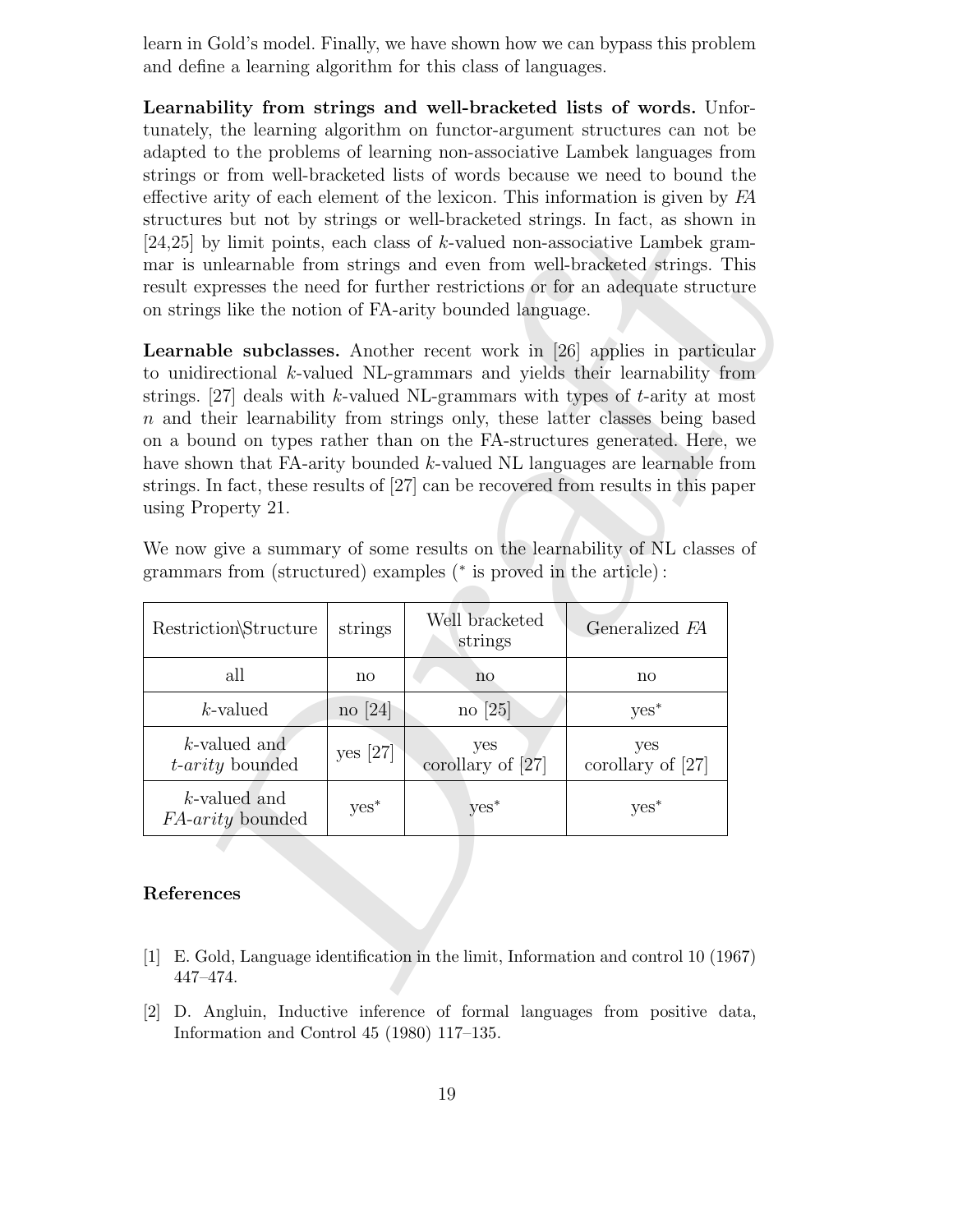learn in Gold's model. Finally, we have shown how we can bypass this problem and define a learning algorithm for this class of languages.

Learnability from strings and well-bracketed lists of words. Unfortunately, the learning algorithm on functor-argument structures can not be adapted to the problems of learning non-associative Lambek languages from strings or from well-bracketed lists of words because we need to bound the effective arity of each element of the lexicon. This information is given by FA structures but not by strings or well-bracketed strings. In fact, as shown in [24,25] by limit points, each class of k-valued non-associative Lambek grammar is unlearnable from strings and even from well-bracketed strings. This result expresses the need for further restrictions or for an adequate structure on strings like the notion of FA-arity bounded language.

| on strings like the notion of FA-arity bounded language.                                |                        |                            | structures but not by strings or well-bracketed strings. In fact, as shown in<br>[24,25] by limit points, each class of k-valued non-associative Lambek gram-<br>mar is unlearnable from strings and even from well-bracketed strings. This<br>result expresses the need for further restrictions or for an adequate structure                                                                                                                                                                                                                                                                                                                            |  |
|-----------------------------------------------------------------------------------------|------------------------|----------------------------|-----------------------------------------------------------------------------------------------------------------------------------------------------------------------------------------------------------------------------------------------------------------------------------------------------------------------------------------------------------------------------------------------------------------------------------------------------------------------------------------------------------------------------------------------------------------------------------------------------------------------------------------------------------|--|
| using Property 21.<br>grammars from (structured) examples (* is proved in the article): |                        |                            | Learnable subclasses. Another recent work in [26] applies in particular<br>to unidirectional k-valued NL-grammars and yields their learnability from<br>strings. [27] deals with k-valued NL-grammars with types of $t$ -arity at most<br>$n$ and their learnability from strings only, these latter classes being based<br>on a bound on types rather than on the FA-structures generated. Here, we<br>have shown that FA-arity bounded $k$ -valued NL languages are learnable from<br>strings. In fact, these results of [27] can be recovered from results in this paper<br>We now give a summary of some results on the learnability of NL classes of |  |
| Restriction\Structure                                                                   | strings                | Well bracketed<br>strings  | Generalized FA                                                                                                                                                                                                                                                                                                                                                                                                                                                                                                                                                                                                                                            |  |
| all                                                                                     | $\mathop{\mathrm{no}}$ | no                         | $\mathop{\mathrm{no}}$                                                                                                                                                                                                                                                                                                                                                                                                                                                                                                                                                                                                                                    |  |
| $k$ -valued                                                                             | $\log[24]$             | $no$ [25]                  | $yes^*$                                                                                                                                                                                                                                                                                                                                                                                                                                                                                                                                                                                                                                                   |  |
| $k$ -valued and<br><i>t</i> - <i>arity</i> bounded                                      | yes $[27]$             | yes<br>corollary of $[27]$ | yes<br>corollary of $[27]$                                                                                                                                                                                                                                                                                                                                                                                                                                                                                                                                                                                                                                |  |
| $k$ -valued and<br>FA-arity bounded                                                     | $yes^*$                | yes <sup>*</sup>           | yes*                                                                                                                                                                                                                                                                                                                                                                                                                                                                                                                                                                                                                                                      |  |
| References<br>$\lceil 1 \rceil$<br>447-474.                                             |                        |                            | E. Gold, Language identification in the limit, Information and control 10 (1967)                                                                                                                                                                                                                                                                                                                                                                                                                                                                                                                                                                          |  |

## References

- [1] E. Gold, Language identification in the limit, Information and control 10 (1967) 447–474.
- [2] D. Angluin, Inductive inference of formal languages from positive data, Information and Control 45 (1980) 117–135.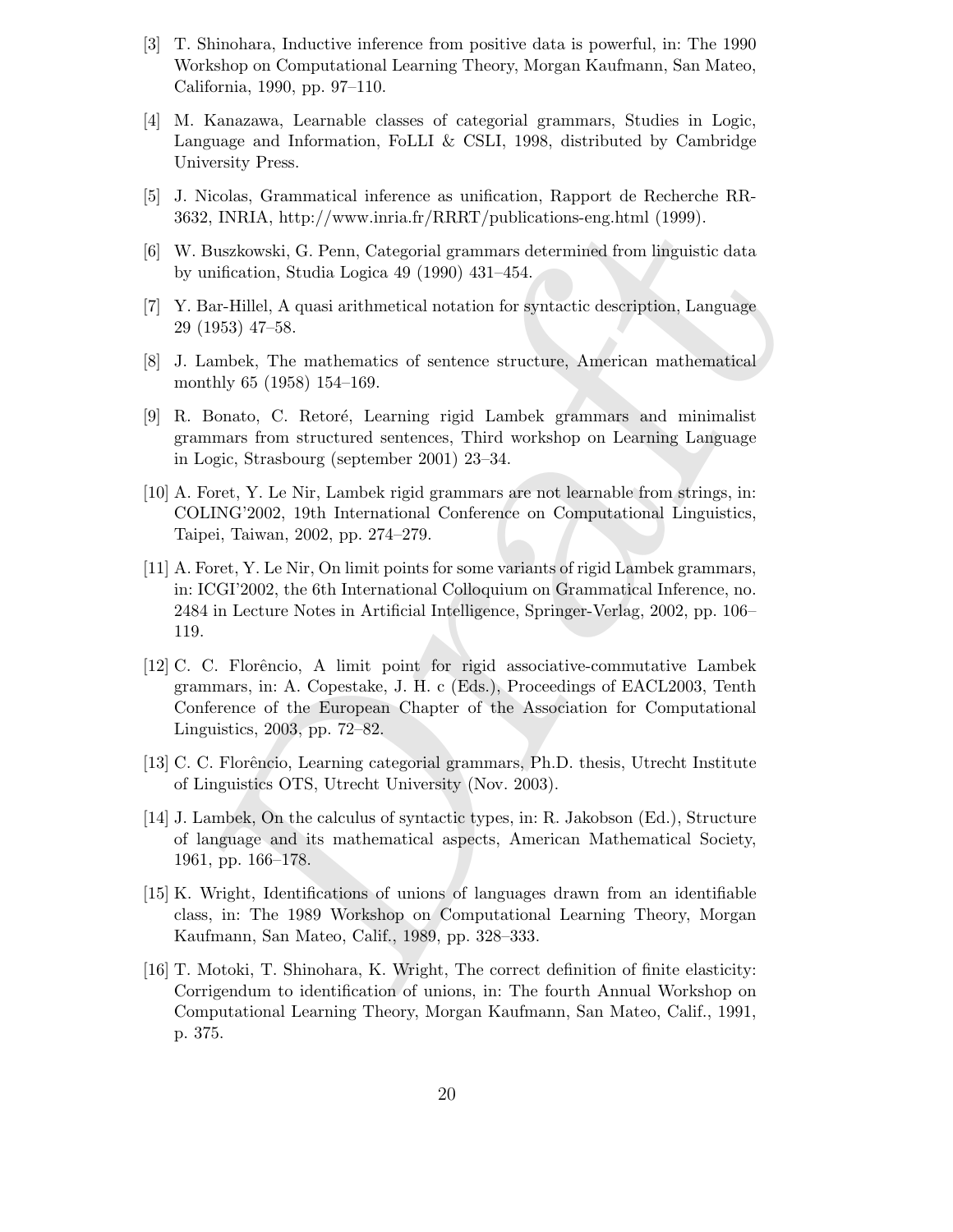- [3] T. Shinohara, Inductive inference from positive data is powerful, in: The 1990 Workshop on Computational Learning Theory, Morgan Kaufmann, San Mateo, California, 1990, pp. 97–110.
- [4] M. Kanazawa, Learnable classes of categorial grammars, Studies in Logic, Language and Information, FoLLI & CSLI, 1998, distributed by Cambridge University Press.
- [5] J. Nicolas, Grammatical inference as unification, Rapport de Recherche RR-3632, INRIA, http://www.inria.fr/RRRT/publications-eng.html (1999).
- [6] W. Buszkowski, G. Penn, Categorial grammars determined from linguistic data by unification, Studia Logica 49 (1990) 431–454.
- [7] Y. Bar-Hillel, A quasi arithmetical notation for syntactic description, Language 29 (1953) 47–58.
- [8] J. Lambek, The mathematics of sentence structure, American mathematical monthly 65 (1958) 154–169.
- [9] R. Bonato, C. Retoré, Learning rigid Lambek grammars and minimalist grammars from structured sentences, Third workshop on Learning Language in Logic, Strasbourg (september 2001) 23–34.
- [10] A. Foret, Y. Le Nir, Lambek rigid grammars are not learnable from strings, in: COLING'2002, 19th International Conference on Computational Linguistics, Taipei, Taiwan, 2002, pp. 274–279.
- [11] A. Foret, Y. Le Nir, On limit points for some variants of rigid Lambek grammars, in: ICGI'2002, the 6th International Colloquium on Grammatical Inference, no. 2484 in Lecture Notes in Artificial Intelligence, Springer-Verlag, 2002, pp. 106– 119.
- 12, INRIA, http://www.inria.fr/RRRT/publications-eng.html (1999).<br>
20, INRIA, http://www.inria.fr/RRRT/publications-eng.html (1999).<br>
1915-atom, Studia Logica 49 (1990) 431-454.<br>
1916-1<br/>tillel, A quasi arithmetical no [12] C. C. Florˆencio, A limit point for rigid associative-commutative Lambek grammars, in: A. Copestake, J. H. c (Eds.), Proceedings of EACL2003, Tenth Conference of the European Chapter of the Association for Computational Linguistics, 2003, pp. 72–82.
- [13] C. C. Florˆencio, Learning categorial grammars, Ph.D. thesis, Utrecht Institute of Linguistics OTS, Utrecht University (Nov. 2003).
- [14] J. Lambek, On the calculus of syntactic types, in: R. Jakobson (Ed.), Structure of language and its mathematical aspects, American Mathematical Society, 1961, pp. 166–178.
- [15] K. Wright, Identifications of unions of languages drawn from an identifiable class, in: The 1989 Workshop on Computational Learning Theory, Morgan Kaufmann, San Mateo, Calif., 1989, pp. 328–333.
- [16] T. Motoki, T. Shinohara, K. Wright, The correct definition of finite elasticity: Corrigendum to identification of unions, in: The fourth Annual Workshop on Computational Learning Theory, Morgan Kaufmann, San Mateo, Calif., 1991, p. 375.